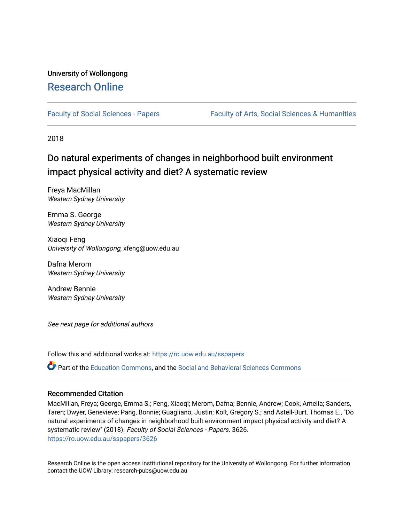# University of Wollongong [Research Online](https://ro.uow.edu.au/)

[Faculty of Social Sciences - Papers](https://ro.uow.edu.au/sspapers) Faculty of Arts, Social Sciences & Humanities

2018

# Do natural experiments of changes in neighborhood built environment impact physical activity and diet? A systematic review

Freya MacMillan Western Sydney University

Emma S. George Western Sydney University

Xiaoqi Feng University of Wollongong, xfeng@uow.edu.au

Dafna Merom Western Sydney University

Andrew Bennie Western Sydney University

See next page for additional authors

Follow this and additional works at: [https://ro.uow.edu.au/sspapers](https://ro.uow.edu.au/sspapers?utm_source=ro.uow.edu.au%2Fsspapers%2F3626&utm_medium=PDF&utm_campaign=PDFCoverPages) 

Part of the [Education Commons](http://network.bepress.com/hgg/discipline/784?utm_source=ro.uow.edu.au%2Fsspapers%2F3626&utm_medium=PDF&utm_campaign=PDFCoverPages), and the [Social and Behavioral Sciences Commons](http://network.bepress.com/hgg/discipline/316?utm_source=ro.uow.edu.au%2Fsspapers%2F3626&utm_medium=PDF&utm_campaign=PDFCoverPages) 

# Recommended Citation

MacMillan, Freya; George, Emma S.; Feng, Xiaoqi; Merom, Dafna; Bennie, Andrew; Cook, Amelia; Sanders, Taren; Dwyer, Genevieve; Pang, Bonnie; Guagliano, Justin; Kolt, Gregory S.; and Astell-Burt, Thomas E., "Do natural experiments of changes in neighborhood built environment impact physical activity and diet? A systematic review" (2018). Faculty of Social Sciences - Papers. 3626. [https://ro.uow.edu.au/sspapers/3626](https://ro.uow.edu.au/sspapers/3626?utm_source=ro.uow.edu.au%2Fsspapers%2F3626&utm_medium=PDF&utm_campaign=PDFCoverPages)

Research Online is the open access institutional repository for the University of Wollongong. For further information contact the UOW Library: research-pubs@uow.edu.au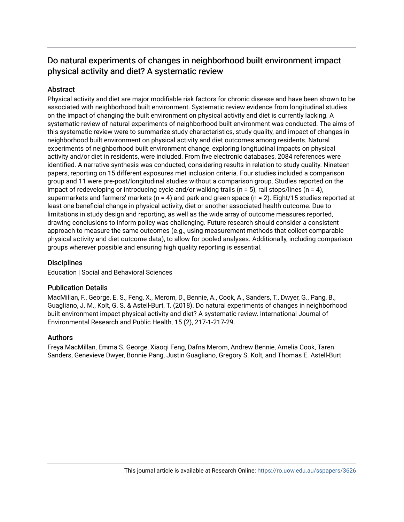# Do natural experiments of changes in neighborhood built environment impact physical activity and diet? A systematic review

# **Abstract**

Physical activity and diet are major modifiable risk factors for chronic disease and have been shown to be associated with neighborhood built environment. Systematic review evidence from longitudinal studies on the impact of changing the built environment on physical activity and diet is currently lacking. A systematic review of natural experiments of neighborhood built environment was conducted. The aims of this systematic review were to summarize study characteristics, study quality, and impact of changes in neighborhood built environment on physical activity and diet outcomes among residents. Natural experiments of neighborhood built environment change, exploring longitudinal impacts on physical activity and/or diet in residents, were included. From five electronic databases, 2084 references were identified. A narrative synthesis was conducted, considering results in relation to study quality. Nineteen papers, reporting on 15 different exposures met inclusion criteria. Four studies included a comparison group and 11 were pre-post/longitudinal studies without a comparison group. Studies reported on the impact of redeveloping or introducing cycle and/or walking trails ( $n = 5$ ), rail stops/lines ( $n = 4$ ), supermarkets and farmers' markets ( $n = 4$ ) and park and green space ( $n = 2$ ). Eight/15 studies reported at least one beneficial change in physical activity, diet or another associated health outcome. Due to limitations in study design and reporting, as well as the wide array of outcome measures reported, drawing conclusions to inform policy was challenging. Future research should consider a consistent approach to measure the same outcomes (e.g., using measurement methods that collect comparable physical activity and diet outcome data), to allow for pooled analyses. Additionally, including comparison groups wherever possible and ensuring high quality reporting is essential.

# **Disciplines**

Education | Social and Behavioral Sciences

# Publication Details

MacMillan, F., George, E. S., Feng, X., Merom, D., Bennie, A., Cook, A., Sanders, T., Dwyer, G., Pang, B., Guagliano, J. M., Kolt, G. S. & Astell-Burt, T. (2018). Do natural experiments of changes in neighborhood built environment impact physical activity and diet? A systematic review. International Journal of Environmental Research and Public Health, 15 (2), 217-1-217-29.

# Authors

Freya MacMillan, Emma S. George, Xiaoqi Feng, Dafna Merom, Andrew Bennie, Amelia Cook, Taren Sanders, Genevieve Dwyer, Bonnie Pang, Justin Guagliano, Gregory S. Kolt, and Thomas E. Astell-Burt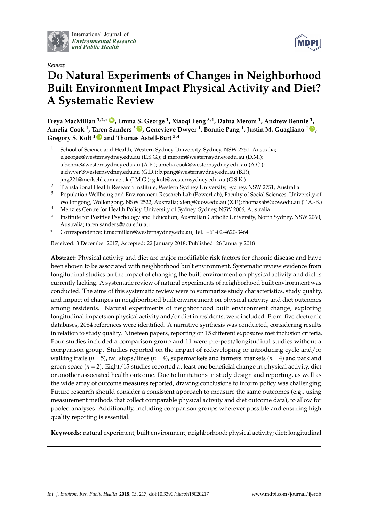

International Journal of *[Environmental Research](http://www.mdpi.com/journal/ijerph) and Public Health*



# *Review* **Do Natural Experiments of Changes in Neighborhood Built Environment Impact Physical Activity and Diet? A Systematic Review**

**Freya MacMillan 1,2,\* [ID](https://orcid.org/0000-0003-3176-2465) , Emma S. George <sup>1</sup> , Xiaoqi Feng 3,4, Dafna Merom <sup>1</sup> , Andrew Bennie <sup>1</sup> , Amelia Cook <sup>1</sup> , Taren Sanders <sup>5</sup> [ID](https://orcid.org/0000-0002-4504-6008) , Genevieve Dwyer <sup>1</sup> , Bonnie Pang <sup>1</sup> , Justin M. Guagliano <sup>1</sup> [ID](https://orcid.org/0000-0002-4450-5700) , Gregory S. Kolt <sup>1</sup> [ID](https://orcid.org/0000-0002-9223-3324) and Thomas Astell-Burt 3,4**

- <sup>1</sup> School of Science and Health, Western Sydney University, Sydney, NSW 2751, Australia; e.george@westernsydney.edu.au (E.S.G.); d.merom@westernsydney.edu.au (D.M.); a.bennie@westernsydney.edu.au (A.B.); amelia.cook@westernsydney.edu.au (A.C.); g.dwyer@westernsydney.edu.au (G.D.); b.pang@westernsydney.edu.au (B.P.); jmg221@medschl.cam.ac.uk (J.M.G.); g.kolt@westernsydney.edu.au (G.S.K.)
- <sup>2</sup> Translational Health Research Institute, Western Sydney University, Sydney, NSW 2751, Australia
- <sup>3</sup> Population Wellbeing and Environment Research Lab (PowerLab), Faculty of Social Sciences, University of Wollongong, Wollongong, NSW 2522, Australia; xfeng@uow.edu.au (X.F.); thomasab@uow.edu.au (T.A.-B.)
- <sup>4</sup> Menzies Centre for Health Policy, University of Sydney, Sydney, NSW 2006, Australia
- 5 Institute for Positive Psychology and Education, Australian Catholic University, North Sydney, NSW 2060, Australia; taren.sanders@acu.edu.au
- **\*** Correspondence: f.macmillan@westernsydney.edu.au; Tel.: +61-02-4620-3464

Received: 3 December 2017; Accepted: 22 January 2018; Published: 26 January 2018

**Abstract:** Physical activity and diet are major modifiable risk factors for chronic disease and have been shown to be associated with neighborhood built environment. Systematic review evidence from longitudinal studies on the impact of changing the built environment on physical activity and diet is currently lacking. A systematic review of natural experiments of neighborhood built environment was conducted. The aims of this systematic review were to summarize study characteristics, study quality, and impact of changes in neighborhood built environment on physical activity and diet outcomes among residents. Natural experiments of neighborhood built environment change, exploring longitudinal impacts on physical activity and/or diet in residents, were included. From five electronic databases, 2084 references were identified. A narrative synthesis was conducted, considering results in relation to study quality. Nineteen papers, reporting on 15 different exposures met inclusion criteria. Four studies included a comparison group and 11 were pre-post/longitudinal studies without a comparison group. Studies reported on the impact of redeveloping or introducing cycle and/or walking trails (*n* = 5), rail stops/lines (*n* = 4), supermarkets and farmers' markets (*n* = 4) and park and green space (*n* = 2). Eight/15 studies reported at least one beneficial change in physical activity, diet or another associated health outcome. Due to limitations in study design and reporting, as well as the wide array of outcome measures reported, drawing conclusions to inform policy was challenging. Future research should consider a consistent approach to measure the same outcomes (e.g., using measurement methods that collect comparable physical activity and diet outcome data), to allow for pooled analyses. Additionally, including comparison groups wherever possible and ensuring high quality reporting is essential.

**Keywords:** natural experiment; built environment; neighborhood; physical activity; diet; longitudinal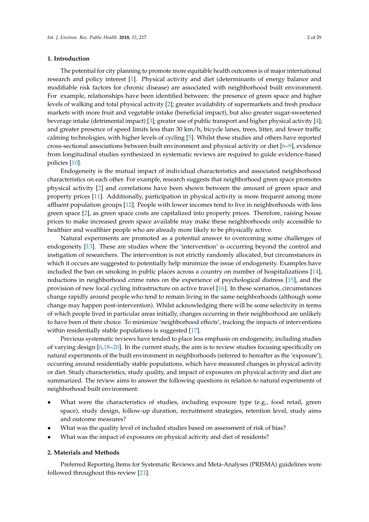## **1. Introduction**

The potential for city planning to promote more equitable health outcomes is of major international research and policy interest [\[1\]](#page-26-0). Physical activity and diet (determinants of energy balance and modifiable risk factors for chronic disease) are associated with neighborhood built environment. For example, relationships have been identified between: the presence of green space and higher levels of walking and total physical activity [\[2\]](#page-27-0); greater availability of supermarkets and fresh produce markets with more fruit and vegetable intake (beneficial impact), but also greater sugar-sweetened beverage intake (detrimental impact) [\[3\]](#page-27-1); greater use of public transport and higher physical activity [\[4\]](#page-27-2); and greater presence of speed limits less than 30 km/h, bicycle lanes, trees, litter, and fewer traffic calming technologies, with higher levels of cycling [\[5\]](#page-27-3). Whilst these studies and others have reported cross-sectional associations between built environment and physical activity or diet [\[6](#page-27-4)[–9\]](#page-27-5), evidence from longitudinal studies synthesized in systematic reviews are required to guide evidence-based policies [\[10\]](#page-27-6).

Endogeneity is the mutual impact of individual characteristics and associated neighborhood characteristics on each other. For example, research suggests that neighborhood green space promotes physical activity [\[2\]](#page-27-0) and correlations have been shown between the amount of green space and property prices [\[11\]](#page-27-7). Additionally, participation in physical activity is more frequent among more affluent population groups [\[12\]](#page-27-8). People with lower incomes tend to live in neighborhoods with less green space [\[2\]](#page-27-0), as green space costs are capitalized into property prices. Therefore, raising house prices to make increased green space available may make these neighborhoods only accessible to healthier and wealthier people who are already more likely to be physically active.

Natural experiments are promoted as a potential answer to overcoming some challenges of endogeneity [\[13\]](#page-27-9). These are studies where the 'intervention' is occurring beyond the control and instigation of researchers. The intervention is not strictly randomly allocated, but circumstances in which it occurs are suggested to potentially help minimize the issue of endogeneity. Examples have included the ban on smoking in public places across a country on number of hospitalizations [\[14\]](#page-27-10), reductions in neighborhood crime rates on the experience of psychological distress [\[15\]](#page-27-11), and the provision of new local cycling infrastructure on active travel [\[16\]](#page-27-12). In these scenarios, circumstances change rapidly around people who tend to remain living in the same neighborhoods (although some change may happen post-intervention). Whilst acknowledging there will be some selectivity in terms of which people lived in particular areas initially, changes occurring in their neighborhood are unlikely to have been of their choice. To minimize 'neighborhood effects', tracking the impacts of interventions within residentially stable populations is suggested [\[17\]](#page-27-13).

Previous systematic reviews have tended to place less emphasis on endogeneity, including studies of varying design [\[6](#page-27-4)[,18](#page-27-14)[–20\]](#page-27-15). In the current study, the aim is to review studies focusing specifically on natural experiments of the built environment in neighborhoods (referred to hereafter as the 'exposure'), occurring around residentially stable populations, which have measured changes in physical activity or diet. Study characteristics, study quality, and impact of exposures on physical activity and diet are summarized. The review aims to answer the following questions in relation to natural experiments of neighborhood built environment:

- What were the characteristics of studies, including exposure type (e.g., food retail, green space), study design, follow-up duration, recruitment strategies, retention level, study aims and outcome measures?
- What was the quality level of included studies based on assessment of risk of bias?
- What was the impact of exposures on physical activity and diet of residents?

#### **2. Materials and Methods**

Preferred Reporting Items for Systematic Reviews and Meta-Analyses (PRISMA) guidelines were followed throughout this review [\[21\]](#page-28-0).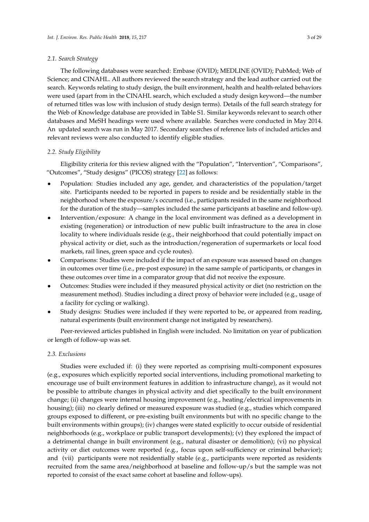#### *2.1. Search Strategy*

The following databases were searched: Embase (OVID); MEDLINE (OVID); PubMed; Web of Science; and CINAHL. All authors reviewed the search strategy and the lead author carried out the search. Keywords relating to study design, the built environment, health and health-related behaviors were used (apart from in the CINAHL search, which excluded a study design keyword—the number of returned titles was low with inclusion of study design terms). Details of the full search strategy for the Web of Knowledge database are provided in Table S1. Similar keywords relevant to search other databases and MeSH headings were used where available. Searches were conducted in May 2014. An updated search was run in May 2017. Secondary searches of reference lists of included articles and relevant reviews were also conducted to identify eligible studies.

#### *2.2. Study Eligibility*

Eligibility criteria for this review aligned with the "Population", "Intervention", "Comparisons", "Outcomes", "Study designs" (PICOS) strategy [\[22\]](#page-28-1) as follows:

- Population: Studies included any age, gender, and characteristics of the population/target site. Participants needed to be reported in papers to reside and be residentially stable in the neighborhood where the exposure/s occurred (i.e., participants resided in the same neighborhood for the duration of the study—samples included the same participants at baseline and follow-up).
- Intervention/exposure: A change in the local environment was defined as a development in existing (regeneration) or introduction of new public built infrastructure to the area in close locality to where individuals reside (e.g., their neighborhood that could potentially impact on physical activity or diet, such as the introduction/regeneration of supermarkets or local food markets, rail lines, green space and cycle routes).
- Comparisons: Studies were included if the impact of an exposure was assessed based on changes in outcomes over time (i.e., pre-post exposure) in the same sample of participants, or changes in these outcomes over time in a comparator group that did not receive the exposure.
- Outcomes: Studies were included if they measured physical activity or diet (no restriction on the measurement method). Studies including a direct proxy of behavior were included (e.g., usage of a facility for cycling or walking).
- Study designs: Studies were included if they were reported to be, or appeared from reading, natural experiments (built environment change not instigated by researchers).

Peer-reviewed articles published in English were included. No limitation on year of publication or length of follow-up was set.

## *2.3. Exclusions*

Studies were excluded if: (i) they were reported as comprising multi-component exposures (e.g., exposures which explicitly reported social interventions, including promotional marketing to encourage use of built environment features in addition to infrastructure change), as it would not be possible to attribute changes in physical activity and diet specifically to the built environment change; (ii) changes were internal housing improvement (e.g., heating/electrical improvements in housing); (iii) no clearly defined or measured exposure was studied (e.g., studies which compared groups exposed to different, or pre-existing built environments but with no specific change to the built environments within groups); (iv) changes were stated explicitly to occur outside of residential neighborhoods (e.g., workplace or public transport developments); (v) they explored the impact of a detrimental change in built environment (e.g., natural disaster or demolition); (vi) no physical activity or diet outcomes were reported (e.g., focus upon self-sufficiency or criminal behavior); and (vii) participants were not residentially stable (e.g., participants were reported as residents recruited from the same area/neighborhood at baseline and follow-up/s but the sample was not reported to consist of the exact same cohort at baseline and follow-ups).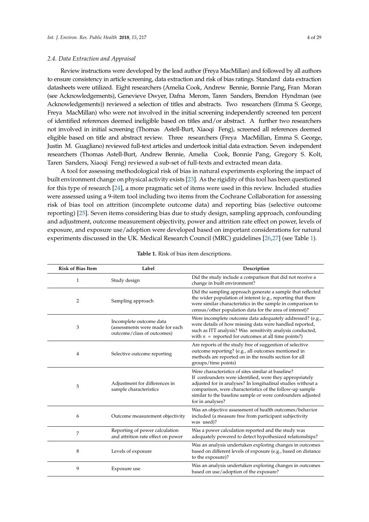#### *2.4. Data Extraction and Appraisal*

Review instructions were developed by the lead author (Freya MacMillan) and followed by all authors to ensure consistency in article screening, data extraction and risk of bias ratings. Standard data extraction datasheets were utilized. Eight researchers (Amelia Cook, Andrew Bennie, Bonnie Pang, Fran Moran (see Acknowledgements), Genevieve Dwyer, Dafna Merom, Taren Sanders, Brendon Hyndman (see Acknowledgements)) reviewed a selection of titles and abstracts. Two researchers (Emma S. George, Freya MacMillan) who were not involved in the initial screening independently screened ten percent of identified references deemed ineligible based on titles and/or abstract. A further two researchers not involved in initial screening (Thomas Astell-Burt, Xiaoqi Feng), screened all references deemed eligible based on title and abstract review. Three researchers (Freya MacMillan, Emma S. George, Justin M. Guagliano) reviewed full-text articles and undertook initial data extraction. Seven independent researchers (Thomas Astell-Burt, Andrew Bennie, Amelia Cook, Bonnie Pang, Gregory S. Kolt, Taren Sanders, Xiaoqi Feng) reviewed a sub-set of full-texts and extracted mean data.

A tool for assessing methodological risk of bias in natural experiments exploring the impact of built environment change on physical activity exists [\[23\]](#page-28-2). As the rigidity of this tool has been questioned for this type of research [\[24\]](#page-28-3), a more pragmatic set of items were used in this review. Included studies were assessed using a 9-item tool including two items from the Cochrane Collaboration for assessing risk of bias tool on attrition (incomplete outcome data) and reporting bias (selective outcome reporting) [\[25\]](#page-28-4). Seven items considering bias due to study design, sampling approach, confounding and adjustment, outcome measurement objectivity, power and attrition rate effect on power, levels of exposure, and exposure use/adoption were developed based on important considerations for natural experiments discussed in the UK. Medical Research Council (MRC) guidelines [\[26,](#page-28-5)[27\]](#page-28-6) (see Table [1\)](#page-5-0).

<span id="page-5-0"></span>

| <b>Risk of Bias Item</b> | Label                                                                                    | Description                                                                                                                                                                                                                                                                                                                 |
|--------------------------|------------------------------------------------------------------------------------------|-----------------------------------------------------------------------------------------------------------------------------------------------------------------------------------------------------------------------------------------------------------------------------------------------------------------------------|
| 1                        | Study design                                                                             | Did the study include a comparison that did not receive a<br>change in built environment?                                                                                                                                                                                                                                   |
| $\overline{2}$           | Sampling approach                                                                        | Did the sampling approach generate a sample that reflected<br>the wider population of interest (e.g., reporting that there<br>were similar characteristics in the sample in comparison to<br>census/other population data for the area of interest)?                                                                        |
| 3                        | Incomplete outcome data<br>(assessments were made for each<br>outcome/class of outcomes) | Were incomplete outcome data adequately addressed? (e.g.,<br>were details of how missing data were handled reported,<br>such as ITT analysis? Was sensitivity analysis conducted,<br>with $n =$ reported for outcomes at all time points?)                                                                                  |
| 4                        | Selective outcome reporting                                                              | Are reports of the study free of suggestion of selective<br>outcome reporting? (e.g., all outcomes mentioned in<br>methods are reported on in the results section for all<br>groups/time points)                                                                                                                            |
| 5                        | Adjustment for differences in<br>sample characteristics                                  | Were characteristics of sites similar at baseline?<br>If confounders were identified, were they appropriately<br>adjusted for in analyses? In longitudinal studies without a<br>comparison, were characteristics of the follow-up sample<br>similar to the baseline sample or were confounders adjusted<br>for in analyses? |
| 6                        | Outcome measurement objectivity                                                          | Was an objective assessment of health outcomes/behavior<br>included (a measure free from participant subjectivity<br>was used)?                                                                                                                                                                                             |
| 7                        | Reporting of power calculation<br>and attrition rate effect on power                     | Was a power calculation reported and the study was<br>adequately powered to detect hypothesized relationships?                                                                                                                                                                                                              |
| 8                        | Levels of exposure                                                                       | Was an analysis undertaken exploring changes in outcomes<br>based on different levels of exposure (e.g., based on distance<br>to the exposure)?                                                                                                                                                                             |
| 9                        | Exposure use                                                                             | Was an analysis undertaken exploring changes in outcomes<br>based on use/adoption of the exposure?                                                                                                                                                                                                                          |

| Table 1. Risk of bias item descriptions. |  |
|------------------------------------------|--|
|------------------------------------------|--|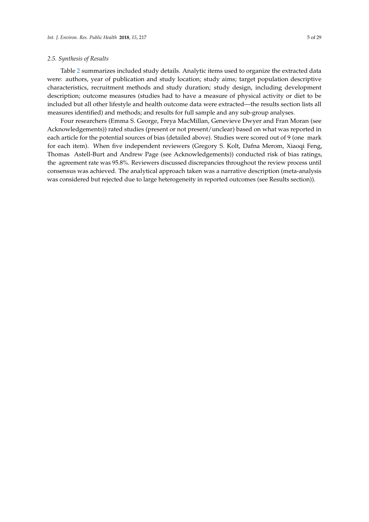#### *2.5. Synthesis of Results*

Table [2](#page-18-0) summarizes included study details. Analytic items used to organize the extracted data were: authors, year of publication and study location; study aims; target population descriptive characteristics, recruitment methods and study duration; study design, including development description; outcome measures (studies had to have a measure of physical activity or diet to be included but all other lifestyle and health outcome data were extracted—the results section lists all measures identified) and methods; and results for full sample and any sub-group analyses.

Four researchers (Emma S. George, Freya MacMillan, Genevieve Dwyer and Fran Moran (see Acknowledgements)) rated studies (present or not present/unclear) based on what was reported in each article for the potential sources of bias (detailed above). Studies were scored out of 9 (one mark for each item). When five independent reviewers (Gregory S. Kolt, Dafna Merom, Xiaoqi Feng, Thomas Astell-Burt and Andrew Page (see Acknowledgements)) conducted risk of bias ratings, the agreement rate was 95.8%. Reviewers discussed discrepancies throughout the review process until consensus was achieved. The analytical approach taken was a narrative description (meta-analysis was considered but rejected due to large heterogeneity in reported outcomes (see Results section)).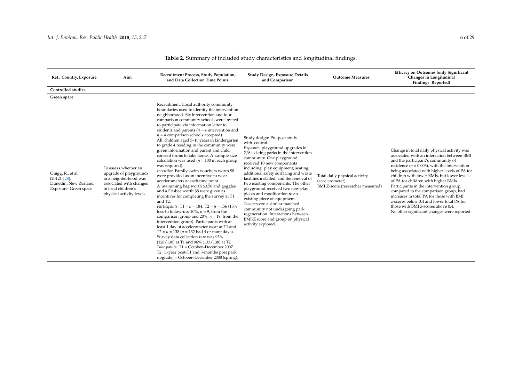| Ref., Country, Exposure                                                                 | Aim                                                                                                                                                    | Recruitment Process, Study Population,<br>and Data Collection Time Points                                                                                                                                                                                                                                                                                                                                                                                                                                                                                                                                                                                                                                                                                                                                                                                                                                                                                                                                                                                                                                                                                                                                                                                                                                                                                                           | Study Design, Exposure Details<br>and Comparison                                                                                                                                                                                                                                                                                                                                                                                                                                                                                                                                                                                        | <b>Outcome Measures</b>                                                               | <b>Efficacy on Outcomes (only Significant</b><br>Changes in Longitudinal<br>Findings Reported)                                                                                                                                                                                                                                                                                                                                                                                                                                                                                               |
|-----------------------------------------------------------------------------------------|--------------------------------------------------------------------------------------------------------------------------------------------------------|-------------------------------------------------------------------------------------------------------------------------------------------------------------------------------------------------------------------------------------------------------------------------------------------------------------------------------------------------------------------------------------------------------------------------------------------------------------------------------------------------------------------------------------------------------------------------------------------------------------------------------------------------------------------------------------------------------------------------------------------------------------------------------------------------------------------------------------------------------------------------------------------------------------------------------------------------------------------------------------------------------------------------------------------------------------------------------------------------------------------------------------------------------------------------------------------------------------------------------------------------------------------------------------------------------------------------------------------------------------------------------------|-----------------------------------------------------------------------------------------------------------------------------------------------------------------------------------------------------------------------------------------------------------------------------------------------------------------------------------------------------------------------------------------------------------------------------------------------------------------------------------------------------------------------------------------------------------------------------------------------------------------------------------------|---------------------------------------------------------------------------------------|----------------------------------------------------------------------------------------------------------------------------------------------------------------------------------------------------------------------------------------------------------------------------------------------------------------------------------------------------------------------------------------------------------------------------------------------------------------------------------------------------------------------------------------------------------------------------------------------|
| <b>Controlled studies</b>                                                               |                                                                                                                                                        |                                                                                                                                                                                                                                                                                                                                                                                                                                                                                                                                                                                                                                                                                                                                                                                                                                                                                                                                                                                                                                                                                                                                                                                                                                                                                                                                                                                     |                                                                                                                                                                                                                                                                                                                                                                                                                                                                                                                                                                                                                                         |                                                                                       |                                                                                                                                                                                                                                                                                                                                                                                                                                                                                                                                                                                              |
| Green space                                                                             |                                                                                                                                                        |                                                                                                                                                                                                                                                                                                                                                                                                                                                                                                                                                                                                                                                                                                                                                                                                                                                                                                                                                                                                                                                                                                                                                                                                                                                                                                                                                                                     |                                                                                                                                                                                                                                                                                                                                                                                                                                                                                                                                                                                                                                         |                                                                                       |                                                                                                                                                                                                                                                                                                                                                                                                                                                                                                                                                                                              |
| Quigg, R., et al.<br>$(2012)$ $[28]$ .<br>Dunedin, New Zealand<br>Exposure: Green space | To assess whether an<br>upgrade of playgrounds<br>in a neighborhood was<br>associated with changes<br>in local children's<br>physical activity levels. | Recruitment: Local authority community<br>boundaries used to identify the intervention<br>neighborhood. Six intervention and four<br>comparison community schools were invited<br>to participate via information letter to<br>students and parents ( $n = 4$ intervention and<br>$n = 4$ comparison schools accepted).<br>All children aged 5-10 years in kindergarten<br>to grade 4 residing in the community were<br>given information and parent and child<br>consent forms to take home. A sample size<br>calculation was used ( $n = 100$ in each group<br>was required).<br>Incentive: Family swim vouchers worth \$8<br>were provided as an incentive to wear<br>accelerometers at each time point.<br>A swimming bag worth \$3.50 and goggles<br>and a Frisbee worth \$8 were given as<br>incentives for completing the survey at T1<br>and T2.<br>Participants: $T1 = n = 184$ . $T2 = n = 156$ (15%)<br>loss to follow-up: 10%, $n = 9$ , from the<br>comparison group and 20%, $n = 19$ , from the<br>intervention group). Participants with at<br>least 1 day of accelerometer wear at T1 and<br>$T2 = n = 138 (n = 132$ had 4 or more days).<br>Survey data collection rate was 93%<br>(128/138) at T1 and 96% (133/138) at T2.<br>Time points: T1 = October-December 2007.<br>T2 (1-year post-T1 and 3-months post park<br>upgrade) = October-December 2008 (spring). | Study design: Pre-post study<br>with control.<br><i>Exposure:</i> playground upgrades in<br>2/6 existing parks in the intervention<br>community. One playground<br>received 10 new components<br>including: play equipment; seating;<br>additional safety surfacing and waste<br>facilities installed; and the removal of<br>two existing components. The other<br>playground received two new play<br>pieces and modification to an<br>existing piece of equipment.<br>Comparison: a similar matched<br>community not undergoing park<br>regeneration. Interactions between<br>BMI-Z score and group on physical<br>activity explored. | Total daily physical activity<br>(accelerometer)<br>BMI Z-score (researcher measured) | Change in total daily physical activity was<br>associated with an interaction between BMI<br>and the participant's community of<br>residence ( $p = 0.006$ ), with the intervention<br>being associated with higher levels of PA for<br>children with lower BMIs, but lower levels<br>of PA for children with higher BMIs.<br>Participants in the intervention group,<br>compared to the comparison group, had<br>increases in total PA for those with BMI<br>z-scores below 0.4 and lower total PA for<br>those with BMI z-scores above 0.4.<br>No other significant changes were reported. |

# **Table 2.** Summary of included study characteristics and longitudinal findings.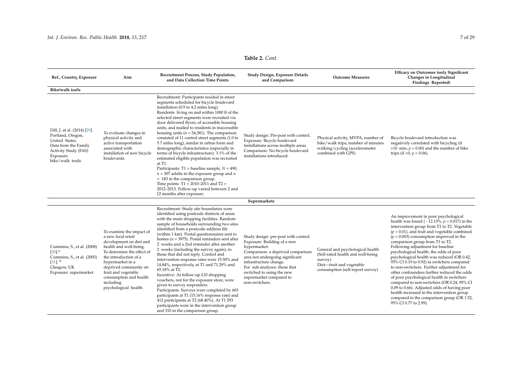| Ref., Country, Exposure                                                                                                                              | Aim                                                                                                                                                                                                                                                                                           | Recruitment Process, Study Population,<br>and Data Collection Time Points                                                                                                                                                                                                                                                                                                                                                                                                                                                                                                                                                                                                                                                                                                                                                                                                                                                               | Study Design, Exposure Details<br>and Comparison                                                                                                                                                                                                                                                | <b>Outcome Measures</b>                                                                                                                          | <b>Efficacy on Outcomes (only Significant</b><br>Changes in Longitudinal<br>Findings Reported)                                                                                                                                                                                                                                                                                                                                                                                                                                                                                                                                                                                                                                                                                                                |
|------------------------------------------------------------------------------------------------------------------------------------------------------|-----------------------------------------------------------------------------------------------------------------------------------------------------------------------------------------------------------------------------------------------------------------------------------------------|-----------------------------------------------------------------------------------------------------------------------------------------------------------------------------------------------------------------------------------------------------------------------------------------------------------------------------------------------------------------------------------------------------------------------------------------------------------------------------------------------------------------------------------------------------------------------------------------------------------------------------------------------------------------------------------------------------------------------------------------------------------------------------------------------------------------------------------------------------------------------------------------------------------------------------------------|-------------------------------------------------------------------------------------------------------------------------------------------------------------------------------------------------------------------------------------------------------------------------------------------------|--------------------------------------------------------------------------------------------------------------------------------------------------|---------------------------------------------------------------------------------------------------------------------------------------------------------------------------------------------------------------------------------------------------------------------------------------------------------------------------------------------------------------------------------------------------------------------------------------------------------------------------------------------------------------------------------------------------------------------------------------------------------------------------------------------------------------------------------------------------------------------------------------------------------------------------------------------------------------|
| <b>Bike/walk trails</b>                                                                                                                              |                                                                                                                                                                                                                                                                                               |                                                                                                                                                                                                                                                                                                                                                                                                                                                                                                                                                                                                                                                                                                                                                                                                                                                                                                                                         |                                                                                                                                                                                                                                                                                                 |                                                                                                                                                  |                                                                                                                                                                                                                                                                                                                                                                                                                                                                                                                                                                                                                                                                                                                                                                                                               |
| Dill, J. at al. (2014) [29].<br>Portland, Oregon,<br>United States.<br>Data from the Family<br>Activity Study (FAS)<br>Exposure:<br>bike/walk trails | To evaluate changes in<br>physical activity and<br>active transportation<br>associated with<br>installation of new bicycle<br>boulevards.                                                                                                                                                     | Recruitment: Participants resided in street<br>segments scheduled for bicycle boulevard<br>installation (0.9 to 4.2 miles long).<br>Residents living on and within 1000 ft of the<br>selected street segments were recruited via<br>door delivered flyers, of accessible housing<br>units, and mailed to residents in inaccessible<br>housing units ( $n = 54,381$ ). The comparison<br>consisted of 11 control street segments (1.0 to<br>5.7 miles long), similar in urban form and<br>demographic characteristics (especially in<br>terms of bicycle infrastructure). 3.1% of the<br>estimated eligible population was recruited<br>at T1.<br>Participants: T1 = baseline sample, $N = 490$ ;<br>$n = 307$ adults in the exposure group and n<br>$= 183$ in the comparison group.<br>Time points: $T1 = 2010-2011$ and $T2 =$<br>2012-2013. Follow-up varied between 2 and<br>12 months after exposure.                              | Study design: Pre-post with control.<br>Exposure: Bicycle boulevard<br>installations across multiple areas.<br>Comparison: No bicycle boulevard<br>installations introduced.                                                                                                                    | Physical activity; MVPA, number of<br>bike/walk trips; number of minutes<br>walking/cycling (accelerometer<br>combined with GPS)                 | Bicycle boulevard introduction was<br>negatively correlated with bicycling (if<br>$>10$ min, $p = 0.00$ ) and the number of bike<br>trips (if $>0$ , $p = 0.06$ ).                                                                                                                                                                                                                                                                                                                                                                                                                                                                                                                                                                                                                                            |
|                                                                                                                                                      |                                                                                                                                                                                                                                                                                               |                                                                                                                                                                                                                                                                                                                                                                                                                                                                                                                                                                                                                                                                                                                                                                                                                                                                                                                                         | Supermarkets                                                                                                                                                                                                                                                                                    |                                                                                                                                                  |                                                                                                                                                                                                                                                                                                                                                                                                                                                                                                                                                                                                                                                                                                                                                                                                               |
| Cummins, S., et al. (2008)<br>$[30]$ <sup>a</sup><br>Cummins, S., et al. (2005)<br>$[31]$ , b<br>Glasgow, UK<br>Exposure: supermarket                | To examine the impact of<br>a new food retail<br>development on diet and<br>health and well-being.<br>To determine the effect of<br>the introduction of a<br>hypermarket in a<br>deprived community on<br>fruit and vegetable<br>consumption and health<br>including<br>psychological health. | Recruitment: Study site boundaries were<br>identified using postcode districts of areas<br>with the main shopping facilities. Random<br>sample of households surrounding two sites<br>identified from a postcode address file<br>(within 1 km). Postal questionnaires sent to<br>homes ( $n = 3975$ ). Postal reminders sent after<br>2 weeks and a 2nd reminder after another<br>2 weeks (including the survey again), to<br>those that did not reply. Control and<br>intervention response rates were 15.50% and<br>14.84%, respectively, at T1 and 71.29% and<br>65.18% at T2.<br>Incentive: At follow-up £10 shopping<br>vouchers, not for the exposure store, were<br>given to survey responders.<br>Participants: Surveys were completed by 603<br>participants at T1 (15.16% response rate) and<br>412 participants at T2 (68.40%). At T1 293<br>participants were in the intervention group<br>and 310 in the comparison group. | Study design: pre-post with control.<br>Exposure: Building of a new<br>hypermarket.<br>Comparison: a deprived comparison<br>area not undergoing significant<br>infrastructure change.<br>For sub-analyses: those that<br>switched to using the new<br>supermarket compared to<br>non-switchers. | General and psychological health<br>(Self-rated health and well-being<br>survey)<br>Diet-fruit and vegetable<br>consumption (self-report survey) | An improvement in poor psychological<br>health was found $(-12.13\%, p = 0.017)$ in the<br>intervention group from T1 to T2. Vegetable<br>$(p = 0.01)$ , and fruit and vegetable combined<br>$(p = 0.003)$ consumption improved in the<br>comparison group from T1 to T2.<br>Following adjustment for baseline<br>psychological health, the odds of poor<br>psychological health was reduced (OR 0.42,<br>95% CI 0.19 to 0.92) in switchers compared<br>to non-switchers. Further adjustment for<br>other confounders further reduced the odds<br>of poor psychological health in switchers<br>compared to non-switchers (OR 0.24, 95% CI<br>0.09 to 0.66). Adjusted odds of having poor<br>health increased in the intervention group<br>compared to the comparison group (OR 1.52,<br>95% CI 0.77 to 2.99). |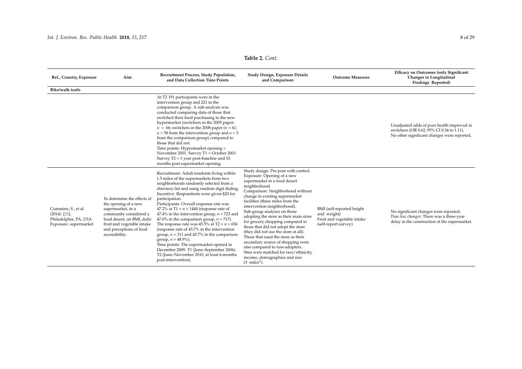| Ref., Country, Exposure                                                                 | Aim                                                                                                                                                                                                         | Recruitment Process, Study Population,<br>and Data Collection Time Points                                                                                                                                                                                                                                                                                                                                                                                                                                                                                                                                                                                                                                                                                                      | Study Design, Exposure Details<br>and Comparison                                                                                                                                                                                                                                                                                                                                                                                                                                                                                                                                                                                                                           | <b>Outcome Measures</b>                                                                        | <b>Efficacy on Outcomes (only Significant</b><br>Changes in Longitudinal<br>Findings Reported)                                         |
|-----------------------------------------------------------------------------------------|-------------------------------------------------------------------------------------------------------------------------------------------------------------------------------------------------------------|--------------------------------------------------------------------------------------------------------------------------------------------------------------------------------------------------------------------------------------------------------------------------------------------------------------------------------------------------------------------------------------------------------------------------------------------------------------------------------------------------------------------------------------------------------------------------------------------------------------------------------------------------------------------------------------------------------------------------------------------------------------------------------|----------------------------------------------------------------------------------------------------------------------------------------------------------------------------------------------------------------------------------------------------------------------------------------------------------------------------------------------------------------------------------------------------------------------------------------------------------------------------------------------------------------------------------------------------------------------------------------------------------------------------------------------------------------------------|------------------------------------------------------------------------------------------------|----------------------------------------------------------------------------------------------------------------------------------------|
| <b>Bike/walk trails</b>                                                                 |                                                                                                                                                                                                             |                                                                                                                                                                                                                                                                                                                                                                                                                                                                                                                                                                                                                                                                                                                                                                                |                                                                                                                                                                                                                                                                                                                                                                                                                                                                                                                                                                                                                                                                            |                                                                                                |                                                                                                                                        |
|                                                                                         |                                                                                                                                                                                                             | At T2 191 participants were in the<br>intervention group and 221 in the<br>comparison group. A sub-analysis was<br>conducted comparing data of those that<br>switched their food purchasing to the new<br>hypermarket (switchers in the 2005 paper:<br>$n = 66$ ; switchers in the 2008 paper ( $n = 61$ ;<br>$n = 58$ from the intervention group and $n = 3$<br>from the comparison group) compared to<br>those that did not.<br>Time points: Hypermarket opening =<br>November 2001. Survey T1 = October 2001.<br>Survey $T2 = 1$ year post-baseline and 10<br>months post supermarket opening.                                                                                                                                                                             |                                                                                                                                                                                                                                                                                                                                                                                                                                                                                                                                                                                                                                                                            |                                                                                                | Unadjusted odds of poor health improved in<br>switchers (OR 0.62, 95% CI 0.34 to 1.11).<br>No other significant changes were reported. |
| Cummins, S., et al.<br>$(2014)$ [32].<br>Philadelphia, PA, USA<br>Exposure: supermarket | To determine the effects of<br>the opening of a new<br>supermarket, in a<br>community considered a<br>food desert, on BMI, daily<br>fruit and vegetable intake<br>and perceptions of food<br>accessibility. | Recruitment: Adult residents living within<br>1.5 miles of the supermarkets from two<br>neighborhoods randomly selected from a<br>directory list and using random digit dialing.<br>Incentive: Respondents were given \$20 for<br>participation.<br>Participants: Overall response rate was<br>47.2% at T1 = $n = 1440$ (response rate of<br>47.4% in the intervention group, $n = 723$ and<br>47.0% in the comparison group, $n = 717$ ).<br>The response rate was 45.5% at $T2 = n = 656$<br>(response rate of 43.7% in the intervention<br>group, $n = 311$ and 43.7% in the comparison<br>group, $n = 48.9\%$ ).<br>Time points: The supermarket opened in<br>December 2009. T1 (June-September 2006).<br>T2 (June-November 2010, at least 6-months<br>post-intervention). | Study design: Pre-post with control.<br>Exposure: Opening of a new<br>supermarket in a food desert<br>neighborhood.<br>Comparison: Neighborhood without<br>change in existing supermarket<br>facilities (three miles from the<br>intervention neighborhood).<br>Sub-group analyses on those<br>adopting the store as their main store<br>for grocery shopping compared to<br>those that did not adopt the store<br>(they did not use the store at all).<br>Those that used the store as their<br>secondary source of shopping were<br>also compared to non-adopters.<br>Sites were matched for race/ethnicity,<br>income, demographics and size<br>$(3 \text{ miles}^2)$ . | BMI (self-reported height<br>and weight)<br>Fruit and vegetable intake<br>(self-report survey) | No significant changes were reported.<br>Time line changes: There was a three-year<br>delay in the construction of the supermarket.    |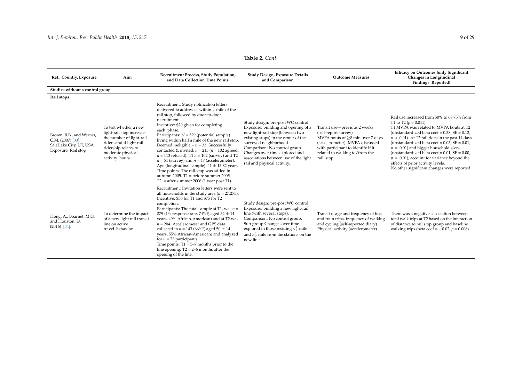| Ref., Country, Exposure                                                                            | Aim                                                                                                                                                                        | Recruitment Process, Study Population,<br>and Data Collection Time Points                                                                                                                                                                                                                                                                                                                                                                                                                                                                                                                                                                                                                                           | Study Design, Exposure Details<br>and Comparison                                                                                                                                                                                                                                                                         | <b>Outcome Measures</b>                                                                                                                                                                                                 | <b>Efficacy on Outcomes (only Significant</b><br>Changes in Longitudinal<br>Findings Reported)                                                                                                                                                                                                                                                                                                                                                                                                                             |
|----------------------------------------------------------------------------------------------------|----------------------------------------------------------------------------------------------------------------------------------------------------------------------------|---------------------------------------------------------------------------------------------------------------------------------------------------------------------------------------------------------------------------------------------------------------------------------------------------------------------------------------------------------------------------------------------------------------------------------------------------------------------------------------------------------------------------------------------------------------------------------------------------------------------------------------------------------------------------------------------------------------------|--------------------------------------------------------------------------------------------------------------------------------------------------------------------------------------------------------------------------------------------------------------------------------------------------------------------------|-------------------------------------------------------------------------------------------------------------------------------------------------------------------------------------------------------------------------|----------------------------------------------------------------------------------------------------------------------------------------------------------------------------------------------------------------------------------------------------------------------------------------------------------------------------------------------------------------------------------------------------------------------------------------------------------------------------------------------------------------------------|
| Studies without a control group                                                                    |                                                                                                                                                                            |                                                                                                                                                                                                                                                                                                                                                                                                                                                                                                                                                                                                                                                                                                                     |                                                                                                                                                                                                                                                                                                                          |                                                                                                                                                                                                                         |                                                                                                                                                                                                                                                                                                                                                                                                                                                                                                                            |
| Rail stops                                                                                         |                                                                                                                                                                            |                                                                                                                                                                                                                                                                                                                                                                                                                                                                                                                                                                                                                                                                                                                     |                                                                                                                                                                                                                                                                                                                          |                                                                                                                                                                                                                         |                                                                                                                                                                                                                                                                                                                                                                                                                                                                                                                            |
| Brown, B.B., and Werner,<br>$C.M. (2007) [33]$ .<br>Salt Lake City, UT, USA<br>Exposure: Rail stop | To test whether a new<br>light-rail stop increases<br>the number of light-rail<br>riders and if light-rail<br>ridership relates to<br>moderate physical<br>activity bouts. | Recruitment: Study notification letters<br>delivered to addresses within $\frac{1}{2}$ mile of the<br>rail stop, followed by door-to-door<br>recruitment.<br>Incentive: \$20 given for completing<br>each phase.<br>Participants: $N = 529$ (potential sample)<br>living within half a mile of the new rail stop.<br>Deemed ineligible = $n = 33$ . Successfully<br>contacted & invited, $n = 215$ ( $n = 102$ agreed;<br>$n = 113$ refused). T1 $n = 102$ (survey) and T2<br>$n = 51$ (survey) and $n = 47$ (accelerometer).<br>Age (longitudinal sample): $41 \pm 13.82$ years.<br>Time points: The rail-stop was added in<br>autumn 2005. T1 = before summer 2005.<br>$T2 =$ after summer 2006 (1 year post T1). | Study design: pre-post WO control<br>Exposure: building and opening of a<br>new light-rail stop (between two<br>existing stops) in the center of the<br>surveyed neighborhood<br>Comparison: No control group.<br>Changes over time explored and<br>associations between use of the light<br>rail and physical activity. | Transit use-previous 2 weeks<br>(self-report survey)<br>MVPA bouts of $\geq 8$ min over 7 days<br>(accelerometer). MVPA discussed<br>with participant to identify if it<br>related to walking to/from the<br>rail stop. | Rail use increased from 50% to 68.75% from<br>T1 to T2 ( $p = 0.011$ ).<br>T1 MVPA was related to MVPA bouts at T2<br>(unstandardized beta coef = $0.38$ , SE = $0.12$ ,<br>$p < 0.01$ ). At T2 rail rides in the past 14 days<br>(unstandardized beta coef = $0.03$ , SE = $0.01$ ,<br>$p = 0.01$ ) and bigger household sizes<br>(unstandardized beta coef = $0.01$ , SE = $0.00$ ,<br>$p = 0.01$ ), account for variance beyond the<br>effects of prior activity levels.<br>No other significant changes were reported. |
| Hong, A., Boarnet, M.G.<br>and Houston, D.<br>$(2016)$ [34].                                       | To determine the impact<br>of a new light rail transit<br>line on active<br>travel behavior                                                                                | Recruitment: Invitation letters were sent to<br>all households in the study area ( $n = 27,275$ ).<br>Incentive: \$30 for T1 and \$75 for T2<br>completion.<br>Participants: The total sample at T1, was $n =$<br>279 (1% response rate, 74%F, aged 52 $\pm$ 14<br>years, 49% African-American) and at T2 was<br>$n = 204$ . Accelerometer and GPS data<br>collected in $n = 143$ (66%F, aged 50 $\pm$ 14<br>years, 55% African-American) and analyzed<br>for $n = 73$ participants.<br>Time points: $T1 = 5-7$ months prior to the<br>line opening. $T2 = 2-6$ months after the<br>opening of the line.                                                                                                            | Study design: pre-post WO control.<br>Exposure: building a new light-rail<br>line (with several stops).<br>Comparison: No control group.<br>Sub-group Changes over time<br>explored in those residing $\langle \frac{1}{2}$ mile<br>and $>\frac{1}{2}$ mile from the stations on the<br>new line.                        | Transit usage and frequency of bus<br>and train trips, frequency of walking<br>and cycling (self-reported diary)<br>Physical activity (accelerometer)                                                                   | There was a negative association between<br>total walk trips at T2 based on the interaction<br>of distance to rail stop group and baseline<br>walking trips (beta coef = $-0.02$ , $p = 0.008$ ).                                                                                                                                                                                                                                                                                                                          |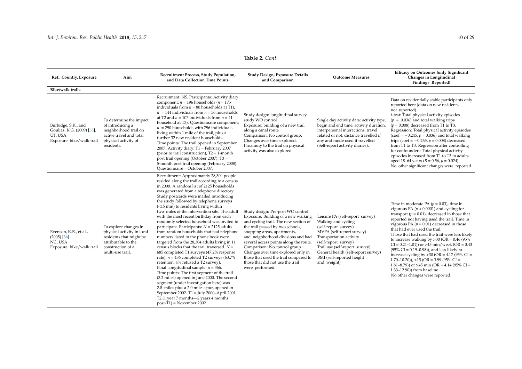| Ref., Country, Exposure                                                                   | Aim                                                                                                                                            | Recruitment Process, Study Population,<br>and Data Collection Time Points                                                                                                                                                                                                                                                                                                                                                                                                                                                                                                                                                                                                                                                                                                                                                                                                                                                                                                                                                                                                                                                                                                                   | Study Design, Exposure Details<br>and Comparison                                                                                                                                                                                                                                                                                                                                                                                             | <b>Outcome Measures</b>                                                                                                                                                                                                                                                             | <b>Efficacy on Outcomes (only Significant</b><br>Changes in Longitudinal<br>Findings Reported)                                                                                                                                                                                                                                                                                                                                                                                                                                                                                                                                                                                                                       |
|-------------------------------------------------------------------------------------------|------------------------------------------------------------------------------------------------------------------------------------------------|---------------------------------------------------------------------------------------------------------------------------------------------------------------------------------------------------------------------------------------------------------------------------------------------------------------------------------------------------------------------------------------------------------------------------------------------------------------------------------------------------------------------------------------------------------------------------------------------------------------------------------------------------------------------------------------------------------------------------------------------------------------------------------------------------------------------------------------------------------------------------------------------------------------------------------------------------------------------------------------------------------------------------------------------------------------------------------------------------------------------------------------------------------------------------------------------|----------------------------------------------------------------------------------------------------------------------------------------------------------------------------------------------------------------------------------------------------------------------------------------------------------------------------------------------------------------------------------------------------------------------------------------------|-------------------------------------------------------------------------------------------------------------------------------------------------------------------------------------------------------------------------------------------------------------------------------------|----------------------------------------------------------------------------------------------------------------------------------------------------------------------------------------------------------------------------------------------------------------------------------------------------------------------------------------------------------------------------------------------------------------------------------------------------------------------------------------------------------------------------------------------------------------------------------------------------------------------------------------------------------------------------------------------------------------------|
| <b>Bike/walk trails</b>                                                                   |                                                                                                                                                |                                                                                                                                                                                                                                                                                                                                                                                                                                                                                                                                                                                                                                                                                                                                                                                                                                                                                                                                                                                                                                                                                                                                                                                             |                                                                                                                                                                                                                                                                                                                                                                                                                                              |                                                                                                                                                                                                                                                                                     |                                                                                                                                                                                                                                                                                                                                                                                                                                                                                                                                                                                                                                                                                                                      |
| Burbidge, S.K., and<br>Goulias, K.G. (2009) [35].<br>UT, USA<br>Exposure: bike/walk trail | To determine the impact<br>of introducing a<br>neighborhood trail on<br>active travel and total<br>physical activity of<br>residents.          | Recruitment: NS. Participants: Activity diary<br>component; $n = 196$ households ( $n = 175$ )<br>individuals from $n = 80$ households at T1),<br>$n = 144$ individuals from $n = 56$ households<br>at T2 and $n = 107$ individuals from $n = 41$<br>household at T3). Questionnaire component;<br>$n = 290$ households with 796 individuals<br>living within 1 mile of the trail, plus a<br>further 32 new resident households.<br>Time points: The trail opened in September<br>2007. Activity diary; T1 = February 2007<br>(prior to trail construction), $T2 = 1$ -month<br>post trail opening (October 2007), T3 =<br>5-month post trail opening (February 2008).<br>Ouestionnaire = October 2007.                                                                                                                                                                                                                                                                                                                                                                                                                                                                                     | Study design: longitudinal survey<br>study WO control<br>Exposure: building of a new trail<br>along a canal route<br>Comparison: No control group.<br>Changes over time explored.<br>Proximity to the trail on physical<br>activity was also explored.                                                                                                                                                                                       | Single day activity data: activity type,<br>begin and end time, activity duration,<br>interpersonal interactions, travel<br>related or not, distance travelled if<br>any and mode used if travelled<br>(Self-report activity diaries).                                              | Data on residentially stable participants only<br>reported here (data on new residents<br>not reported).<br>t-test: Total physical activity episodes<br>$(p = 0.036)$ and total walking trips<br>$(p = 0.008)$ decreased from T1 to T3.<br>Regression: Total physical activity episodes<br>(coef = $-0.245$ , $p = 0.036$ ) and total walking<br>trips (coef = $-0.265$ , $p = 0.008$ ) decreased<br>from T1 to T3. Regression after controlling<br>for confounders: Total physical activity<br>episodes increased from T1 to T3 in adults<br>aged 18–64 years ( $B = 0.56$ , $p = 0.024$ ).<br>No other significant changes were reported.                                                                          |
| Evenson, K.R., et al.,<br>$(2005)$ [36].<br>NC, USA<br>Exposure: bike/walk trail          | To explore changes in<br>physical activity in local<br>residents that might be<br>attributable to the<br>construction of a<br>multi-use trail. | Recruitment: Approximately 28,304 people<br>resided along the trail according to a census<br>in 2000. A random list of 2125 households<br>was generated from a telephone directory.<br>Study postcards were mailed introducing<br>the study followed by telephone surveys<br>(<15 min) to residents living within<br>two miles of the intervention site. The adult<br>with the most recent birthday from each<br>randomly selected household was invited to<br>participate. Participants: $N = 2125$ adults<br>from random households that had telephone<br>numbers listed in the phone book were<br>targeted from the 28,304 adults living in 11<br>census blocks that the trail traversed. $N =$<br>685 completed T1 surveys (47.2% response<br>rate), $n = 436$ completed T2 surveys (63.7%<br>retention; 4% refused a T2 survey).<br>Final longitudinal sample: $n = 366$ .<br>Time points: The first segment of the trail<br>(3.2 miles) opened in June 2000. The second<br>segment (under investigation here) was<br>2.8 miles plus a 2.0 miles spur, opened in<br>September 2002. T1 = July 2000-April 2001.<br>T2 (1 year 7 months-2 years 4 months<br>$post-T1$ ) = November 2002. | Study design: Pre-post WO control.<br>Exposure: Building of a new walking<br>and cycling trail. The new section of<br>the trail passed by two schools,<br>shopping areas, apartments,<br>and neighborhood divisions and had<br>several access points along the route.<br>Comparison: No control group.<br>Changes over time explored only in<br>those that used the trail compared to<br>those that did not use the trail<br>were performed. | Leisure PA (self-report survey)<br>Walking and cycling<br>(self-report survey)<br>MVPA (self-report survey)<br>Transportation activity<br>(self-report survey)<br>Trail use (self-report survey)<br>General health (self-report survey)<br>BMI (self-reported height<br>and weight) | Time in moderate PA ( $p = 0.03$ ), time in<br>vigorous PA ( $p < 0.0001$ ) and cycling for<br>transport ( $p = 0.01$ ), decreased in those that<br>reported not having used the trail. Time in<br>vigorous PA ( $p = 0.01$ ) decreased in those<br>that had ever used the trail.<br>Those that had used the trail were less likely<br>to increase walking by >30 (OR = $0.46$ (95%)<br>$CI = 0.21 - 1.01$ ) or >45 min/week (OR = 0.43<br>$(95\% \text{ CI} = 0.19 - 0.98)$ , and less likely to<br>increase cycling by $>30$ (OR = 4.17 (95% CI =<br>$1.70-10.20$ )), > $15$ (OR = 3.99 (95% CI =<br>1.81–8.79)) or >45 min (OR = 4.14 (95% CI =<br>1.33-12.90)) from baseline.<br>No other changes were reported. |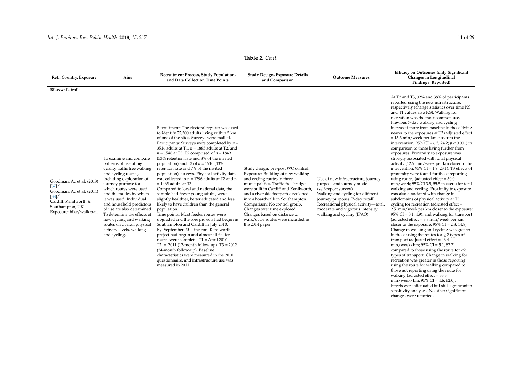| Ref., Country, Exposure                                                                                                                                                         | Aim                                                                                                                                                                                                                                                                                                                                                                                                                                       | Recruitment Process, Study Population,<br>and Data Collection Time Points                                                                                                                                                                                                                                                                                                                                                                                                                                                                                                                                                                                                                                                                                                                                                                                                                                                                                                                                                                                                                                                                                                                                                 | Study Design, Exposure Details<br>and Comparison                                                                                                                                                                                                                                                                                                                                                                           | <b>Outcome Measures</b>                                                                                                                                                                                                                                                  | <b>Efficacy on Outcomes (only Significant</b><br>Changes in Longitudinal<br>Findings Reported)                                                                                                                                                                                                                                                                                                                                                                                                                                                                                                                                                                                                                                                                                                                                                                                                                                                                                                                                                                                                                                                                                                                                                                                                                                                                                                                                                                                                                                                                                                                                                                                                                                                                                                                                       |
|---------------------------------------------------------------------------------------------------------------------------------------------------------------------------------|-------------------------------------------------------------------------------------------------------------------------------------------------------------------------------------------------------------------------------------------------------------------------------------------------------------------------------------------------------------------------------------------------------------------------------------------|---------------------------------------------------------------------------------------------------------------------------------------------------------------------------------------------------------------------------------------------------------------------------------------------------------------------------------------------------------------------------------------------------------------------------------------------------------------------------------------------------------------------------------------------------------------------------------------------------------------------------------------------------------------------------------------------------------------------------------------------------------------------------------------------------------------------------------------------------------------------------------------------------------------------------------------------------------------------------------------------------------------------------------------------------------------------------------------------------------------------------------------------------------------------------------------------------------------------------|----------------------------------------------------------------------------------------------------------------------------------------------------------------------------------------------------------------------------------------------------------------------------------------------------------------------------------------------------------------------------------------------------------------------------|--------------------------------------------------------------------------------------------------------------------------------------------------------------------------------------------------------------------------------------------------------------------------|--------------------------------------------------------------------------------------------------------------------------------------------------------------------------------------------------------------------------------------------------------------------------------------------------------------------------------------------------------------------------------------------------------------------------------------------------------------------------------------------------------------------------------------------------------------------------------------------------------------------------------------------------------------------------------------------------------------------------------------------------------------------------------------------------------------------------------------------------------------------------------------------------------------------------------------------------------------------------------------------------------------------------------------------------------------------------------------------------------------------------------------------------------------------------------------------------------------------------------------------------------------------------------------------------------------------------------------------------------------------------------------------------------------------------------------------------------------------------------------------------------------------------------------------------------------------------------------------------------------------------------------------------------------------------------------------------------------------------------------------------------------------------------------------------------------------------------------|
| <b>Bike/walk trails</b>                                                                                                                                                         |                                                                                                                                                                                                                                                                                                                                                                                                                                           |                                                                                                                                                                                                                                                                                                                                                                                                                                                                                                                                                                                                                                                                                                                                                                                                                                                                                                                                                                                                                                                                                                                                                                                                                           |                                                                                                                                                                                                                                                                                                                                                                                                                            |                                                                                                                                                                                                                                                                          |                                                                                                                                                                                                                                                                                                                                                                                                                                                                                                                                                                                                                                                                                                                                                                                                                                                                                                                                                                                                                                                                                                                                                                                                                                                                                                                                                                                                                                                                                                                                                                                                                                                                                                                                                                                                                                      |
| Goodman, A., et al. (2013)<br>$[37]$ <sup>c</sup><br>Goodman, A., et al. (2014)<br>$[38]$ <sup>d</sup><br>Cardiff, Kenilworth &<br>Southampton, UK<br>Exposure: bike/walk trail | To examine and compare<br>patterns of use of high<br>quality traffic free walking<br>and cycling routes,<br>including exploration of<br>journey purpose for<br>which routes were used<br>and the modes by which<br>it was used. Individual<br>and household predictors<br>of use are also determined.<br>To determine the effects of<br>new cycling and walking<br>routes on overall physical<br>activity levels, walking<br>and cycling. | Recruitment: The electoral register was used<br>to identify 22,500 adults living within 5 km<br>of one of the sites. Surveys were mailed.<br>Participants: Surveys were completed by $n =$<br>3516 adults at T1, $n = 1885$ adults at T2, and<br>$n = 1548$ at T3. T2 comprised of $n = 1849$<br>(53% retention rate and 8% of the invited<br>population) and T3 of $n = 1510(43\%)$<br>retention rate and 7% of the invited<br>population) surveys. Physical activity data<br>was collected in $n = 1796$ adults at T2 and $n$<br>$= 1465$ adults at T3.<br>Compared to local and national data, the<br>sample had fewer young adults, were<br>slightly healthier, better educated and less<br>likely to have children than the general<br>population.<br>Time points: Most feeder routes were<br>upgraded and the core projects had begun in<br>Southampton and Cardiff in July 2010.<br>By September 2011 the core Kenilworth<br>project had begun and almost all feeder<br>routes were complete. $T1 =$ April 2010.<br>$T2 = 2011$ (12-month follow up). $T3 = 2012$<br>(24-month follow-up). Baseline<br>characteristics were measured in the 2010<br>questionnaire, and infrastructure use was<br>measured in 2011. | Study design: pre-post WO control.<br>Exposure: Building of new walking<br>and cycling routes in three<br>municipalities. Traffic-free bridges<br>were built in Cardiff and Kenilworth,<br>and a riverside footpath developed<br>into a boardwalk in Southampton.<br>Comparison: No control group.<br>Changes over time explored.<br>Changes based on distance to<br>walk/cycle routes were included in<br>the 2014 paper. | Use of new infrastructure, journey<br>purpose and journey mode<br>(self-report survey)<br>Walking and cycling for different<br>journey purposes (7-day recall)<br>Recreational physical activity-total,<br>moderate and vigorous intensity<br>walking and cycling (IPAQ) | At T2 and T3, 32% and 38% of participants<br>reported using the new infrastructure,<br>respectively (change statistics over time NS<br>and T1 values also NS). Walking for<br>recreation was the most common use.<br>Previous 7-day walking and cycling<br>increased more from baseline in those living<br>nearer to the exposures at T3 (adjusted effect<br>$= 15.3$ min/week per km closer to the<br>intervention; 95% CI = 6.5, 24.2; $p < 0.001$ ) in<br>comparison to those living further from<br>exposures. Proximity to exposure was<br>strongly associated with total physical<br>activity (12.5 min/week per km closer to the<br>intervention; $95\%$ CI = 1.9, 23.1). T3 effects of<br>proximity were found for those reporting<br>using routes (adjusted effect $= 30.0$<br>min/week; 95% CI 3.5, 55.5 in users) for total<br>walking and cycling. Proximity to exposure<br>was also associated with change in<br>subdomains of physical activity at T3:<br>cycling for recreation (adjusted effect =<br>2.5 min/week per km closer to the exposure;<br>$95\%$ CI = 0.1, 4.9); and walking for transport<br>(adjusted effect = $8.8$ min/week per km<br>closer to the exposure; $95\%$ CI = 2.8, 14.8).<br>Change in walking and cycling was greater<br>in those using the routes for $\geq$ 2 types of<br>transport (adjusted effect $= 46.4$<br>$min/week/km$ ; 95% CI = 5.1, 87.7)<br>compared to those using the route for <2<br>types of transport. Change in walking for<br>recreation was greater in those reporting<br>using the route for walking compared to<br>those not reporting using the route for<br>walking (adjusted effect = 33.3<br>$min/week/km$ ; 95% CI = 4.6, 62.0).<br>Effects were attenuated but still significant in<br>sensitivity analyses. No other significant<br>changes were reported. |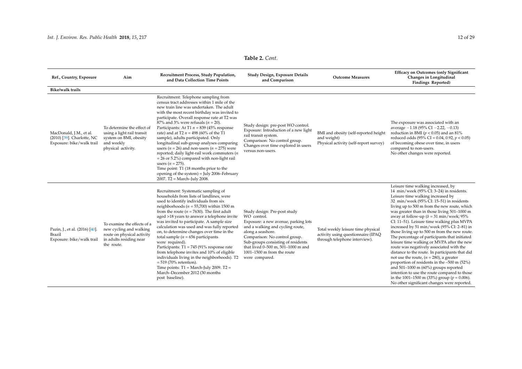| Ref., Country, Exposure                                                            | Aim                                                                                                                           | Recruitment Process, Study Population,<br>and Data Collection Time Points                                                                                                                                                                                                                                                                                                                                                                                                                                                                                                                                                                                                                                                                                        | Study Design, Exposure Details<br>and Comparison                                                                                                                                                                                                                                                              | <b>Outcome Measures</b>                                                                                   | <b>Efficacy on Outcomes (only Significant</b><br>Changes in Longitudinal<br>Findings Reported)                                                                                                                                                                                                                                                                                                                                                                                                                                                                                                                                                                                                                                                                                                                                                                                                                                                       |
|------------------------------------------------------------------------------------|-------------------------------------------------------------------------------------------------------------------------------|------------------------------------------------------------------------------------------------------------------------------------------------------------------------------------------------------------------------------------------------------------------------------------------------------------------------------------------------------------------------------------------------------------------------------------------------------------------------------------------------------------------------------------------------------------------------------------------------------------------------------------------------------------------------------------------------------------------------------------------------------------------|---------------------------------------------------------------------------------------------------------------------------------------------------------------------------------------------------------------------------------------------------------------------------------------------------------------|-----------------------------------------------------------------------------------------------------------|------------------------------------------------------------------------------------------------------------------------------------------------------------------------------------------------------------------------------------------------------------------------------------------------------------------------------------------------------------------------------------------------------------------------------------------------------------------------------------------------------------------------------------------------------------------------------------------------------------------------------------------------------------------------------------------------------------------------------------------------------------------------------------------------------------------------------------------------------------------------------------------------------------------------------------------------------|
| <b>Bike/walk trails</b>                                                            |                                                                                                                               |                                                                                                                                                                                                                                                                                                                                                                                                                                                                                                                                                                                                                                                                                                                                                                  |                                                                                                                                                                                                                                                                                                               |                                                                                                           |                                                                                                                                                                                                                                                                                                                                                                                                                                                                                                                                                                                                                                                                                                                                                                                                                                                                                                                                                      |
| MacDonald, J.M., et al.<br>(2010) [39]. Charlotte, NC<br>Exposure: bike/walk trail | To determine the effect of<br>using a light rail transit<br>system on BMI, obesity<br>and weekly<br>physical activity.        | Recruitment: Telephone sampling from<br>census tract addresses within 1 mile of the<br>new train line was undertaken. The adult<br>with the most recent birthday was invited to<br>participate. Overall response rate at T2 was<br>87% and 3% were refusals ( $n = 20$ ).<br>Participants: At T1 $n = 839$ (45% response<br>rate) and at T2 $n = 498$ (60% of the T1<br>sample), adults participated. Only<br>longitudinal sub-group analyses comparing<br>users ( $n = 26$ ) and non-users ( $n = 275$ ) were<br>reported; daily light-rail work commuters $(n)$<br>$= 26$ or 5.2%) compared with non-light rail<br>users $(n = 275)$ .<br>Time point: T1 (18 months prior to the<br>opening of the system) = July 2006–February<br>2007. T2 = March-July 2008. | Study design: pre-post WO control.<br>Exposure: Introduction of a new light<br>rail transit system.<br>Comparison: No control group.<br>Changes over time explored in users<br>versus non-users.                                                                                                              | BMI and obesity (self-reported height<br>and weight)<br>Physical activity (self-report survey)            | The exposure was associated with an<br>average $-1.18$ (95% CI $-2.22$ , $-0.13$ )<br>reduction in BMI ( $p < 0.05$ ) and an 81%<br>reduced odds (95% CI = 0.04, 0.92, $p < 0.05$ )<br>of becoming obese over time, in users<br>compared to non-users.<br>No other changes were reported.                                                                                                                                                                                                                                                                                                                                                                                                                                                                                                                                                                                                                                                            |
| Pazin, J., et al. (2016) [40].<br>Brazil<br>Exposure: bike/walk trail              | To examine the effects of a<br>new cycling and walking<br>route on physical activity<br>in adults residing near<br>the route. | Recruitment: Systematic sampling of<br>households from lists of landlines, were<br>used to identify individuals from six<br>neighborhoods ( $n = 55,700$ ) within 1500 m<br>from the route ( $n = 7630$ ). The first adult<br>aged >18 years to answer a telephone invite<br>was invited to participate. A sample size<br>calculation was used and was fully reported<br>on, to determine changes over time in the<br>total sample ( $n = 656$ participants<br>were required).<br>Participants: $T1 = 745 (91\%$ response rate<br>from telephone invites and 10% of eligible<br>individuals living in the neighborhoods). T2<br>$= 519$ (70% retention).<br>Time points: $T1 = March-July 2009$ . $T2 =$<br>March-December 2012 (30 months<br>post baseline).    | Study design: Pre-post study<br>WO control.<br>Exposure: a new avenue, parking lots<br>and a walking and cycling route,<br>along a seashore.<br>Comparison: No control group.<br>Sub-groups consisting of residents<br>that lived 0-500 m, 501-1000 m and<br>$1001 - 1500$ m from the route<br>were compared. | Total weekly leisure time physical<br>activity using questionnaire (IPAQ<br>through telephone interview). | Leisure time walking increased, by<br>14 min/week (95% CI: 3-24) in residents.<br>Leisure time walking increased by<br>32 min/week (95% CI: 15-51) in residents<br>living up to 500 m from the new route, which<br>was greater than in those living 501-1000 m<br>away at follow-up ( $\delta = 31$ min/week; 95%<br>CI: 11-51). Leisure time walking plus MVPA<br>increased by 51 min/week (95% CI: 2-81) in<br>those living up to 500 m from the new route.<br>The percentage of participants that initiated<br>leisure time walking or MVPA after the new<br>route was negatively associated with the<br>distance to the route. In participants that did<br>not use the route, $(n = 280)$ , a greater<br>proportion of residents in the -500 m (52%)<br>and $501-1000$ m (60%) groups reported<br>intention to use the route compared to those<br>in the 1001–1500 m (33%) group ( $p = 0.006$ ).<br>No other significant changes were reported. |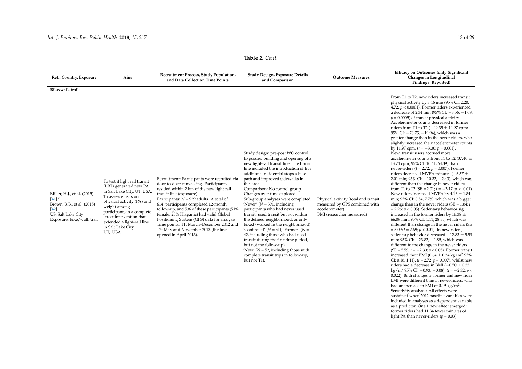| Ref., Country, Exposure                                                                                                                         | Aim                                                                                                                                                                                                                                                                                    | Recruitment Process, Study Population,<br>and Data Collection Time Points                                                                                                                                                                                                                                                                                                                                                                                                                                  | Study Design, Exposure Details<br>and Comparison                                                                                                                                                                                                                                                                                                                                                                                                                                                                                                                                                                                                                                                                                                                                                            | <b>Outcome Measures</b>                                                                                              | <b>Efficacy on Outcomes (only Significant</b><br>Changes in Longitudinal<br>Findings Reported)                                                                                                                                                                                                                                                                                                                                                                                                                                                                                                                                                                                                                                                                                                                                                                                                                                                                                                                                                                                                                                                                                                                                                                                                                                                                                                                                                                                                                                                                                                                                                                                                                                                                                                                                                                                                                                                                                                                                                                                                                                                                                                                                             |
|-------------------------------------------------------------------------------------------------------------------------------------------------|----------------------------------------------------------------------------------------------------------------------------------------------------------------------------------------------------------------------------------------------------------------------------------------|------------------------------------------------------------------------------------------------------------------------------------------------------------------------------------------------------------------------------------------------------------------------------------------------------------------------------------------------------------------------------------------------------------------------------------------------------------------------------------------------------------|-------------------------------------------------------------------------------------------------------------------------------------------------------------------------------------------------------------------------------------------------------------------------------------------------------------------------------------------------------------------------------------------------------------------------------------------------------------------------------------------------------------------------------------------------------------------------------------------------------------------------------------------------------------------------------------------------------------------------------------------------------------------------------------------------------------|----------------------------------------------------------------------------------------------------------------------|--------------------------------------------------------------------------------------------------------------------------------------------------------------------------------------------------------------------------------------------------------------------------------------------------------------------------------------------------------------------------------------------------------------------------------------------------------------------------------------------------------------------------------------------------------------------------------------------------------------------------------------------------------------------------------------------------------------------------------------------------------------------------------------------------------------------------------------------------------------------------------------------------------------------------------------------------------------------------------------------------------------------------------------------------------------------------------------------------------------------------------------------------------------------------------------------------------------------------------------------------------------------------------------------------------------------------------------------------------------------------------------------------------------------------------------------------------------------------------------------------------------------------------------------------------------------------------------------------------------------------------------------------------------------------------------------------------------------------------------------------------------------------------------------------------------------------------------------------------------------------------------------------------------------------------------------------------------------------------------------------------------------------------------------------------------------------------------------------------------------------------------------------------------------------------------------------------------------------------------------|
| <b>Bike/walk trails</b>                                                                                                                         |                                                                                                                                                                                                                                                                                        |                                                                                                                                                                                                                                                                                                                                                                                                                                                                                                            |                                                                                                                                                                                                                                                                                                                                                                                                                                                                                                                                                                                                                                                                                                                                                                                                             |                                                                                                                      |                                                                                                                                                                                                                                                                                                                                                                                                                                                                                                                                                                                                                                                                                                                                                                                                                                                                                                                                                                                                                                                                                                                                                                                                                                                                                                                                                                                                                                                                                                                                                                                                                                                                                                                                                                                                                                                                                                                                                                                                                                                                                                                                                                                                                                            |
| Miller, H.J., et al. (2015)<br>$[41]$ <sup>e</sup><br>Brown, B.B., et al. (2015)<br>$[42]$ .<br>US, Salt Lake City<br>Exposure: bike/walk trail | To test if light rail transit<br>(LRT) generated new PA<br>in Salt Lake City, UT, USA.<br>To assess effects on<br>physical activity (PA) and<br>weight among<br>participants in a complete<br>street intervention that<br>extended a light-rail line<br>in Salt Lake City,<br>UT, USA. | Recruitment: Participants were recruited via<br>door-to-door canvassing. Participants<br>resided within 2 km of the new light rail<br>transit line (exposure).<br>Participants: $N = 939$ adults. A total of<br>614 participants completed 12-month<br>follow-up, and 536 of these participants (51%<br>female, 25% Hispanic) had valid Global<br>Positioning System (GPS) data for analysis.<br>Time points: T1: March-December 2012 and<br>T2: May and November 2013 (the line<br>opened in April 2013). | Study design: pre-post WO control.<br>Exposure: building and opening of a<br>new light-rail transit line. The transit<br>line included the introduction of five<br>additional residential stops a bike<br>path and improved sidewalks in<br>the area.<br>Comparison: No control group.<br>Changes over time explored.<br>Sub-group analyses were completed:<br>'Never' ( $N = 391$ , including<br>participants who had never used<br>transit; used transit but not within<br>the defined neighborhood; or only<br>biked/walked in the neighborhood)<br>'Continued' ( $N = 51$ ), 'Former' ( $N =$<br>42, including those who had used<br>transit during the first time period,<br>but not the follow-up)<br>'New' ( $N = 52$ , including those with<br>complete transit trips in follow-up,<br>but not T1). | Physical activity (total and transit<br>measured by GPS combined with<br>accelerometer)<br>BMI (researcher measured) | From T1 to T2, new riders increased transit<br>physical activity by 3.46 min (95% CI: 2.20,<br>4.72, $p < 0.0001$ ). Former riders experienced<br>a decrease of 2.34 min (95% CI: -3.56, -1.08,<br>$p = 0.0005$ ) of transit physical activity.<br>Accelerometer counts decreased in former<br>riders from T1 to T2 ( $-49.35 \pm 14.97$ cpm;<br>95% CI: -78.75, -19.94), which was a<br>greater change than in the never-riders, who<br>slightly increased their accelerometer counts<br>by 11.97 cpm, $(t = -3.30; p = 0.001)$ .<br>New transit users accrued more<br>accelerometer counts from T1 to T2 (37.40 $\pm$<br>13.74 cpm; 95% CI: 10.41, 64.39) than<br>never-riders ( $t = 2.72$ ; $p = 0.007$ ). Former<br>riders decreased MVPA minutes ( $-6.37 \pm$<br>2.01 min; $95\%$ CI: $-10.32$ , $-2.43$ ), which was<br>different than the change in never riders<br>from T1 to T2 (SE = 2.01; $t = -3.17$ ; $p < 0.01$ ).<br>New riders increased MVPA by $4.16 \pm 1.84$<br>min; 95% CI: 0.54, 7.78), which was a bigger<br>change than in the never riders (SE = $1.84$ ; t<br>$= 2.26; p < 0.05$ ). Sedentary behavior sig<br>increased in the former riders by 16.38 $\pm$<br>66.09 min; 95% CI: 4.41, 28.35, which was<br>different than change in the never riders (SE<br>$= 6.09; t = 2.69; p < 0.01$ ). In new riders,<br>sedentary behavior decreased $-12.83 \pm 5.59$<br>min; $95\%$ CI: $-23.82$ , $-1.85$ , which was<br>different to the change in the never riders<br>(SE = 5.59; $t = -2.30$ ; $p < 0.05$ ). Former transit<br>increased their BMI (0.64 $\pm$ 0.24 kg/m <sup>2</sup> 95%<br>CI: 0.18, 1.11), $(t = 2.72; p = 0.007)$ , whilst new<br>riders had a decrease in BMI ( $-0.50 \pm 0.22$ )<br>kg/m <sup>2</sup> 95% CI: $-0.93$ , $-0.08$ ), (t = $-2.32$ ; p <<br>0.022). Both changes in former and new rider<br>BMI were different than in never-riders, who<br>had an increase in BMI of $0.19 \text{ kg/m}^2$ .<br>Sensitivity analysis: All effects were<br>sustained when 2012 baseline variables were<br>included in analyses as a dependent variable<br>as a predictor. One 1 new effect emerged:<br>former riders had 11.34 fewer minutes of<br>light PA than never-riders ( $p = 0.03$ ). |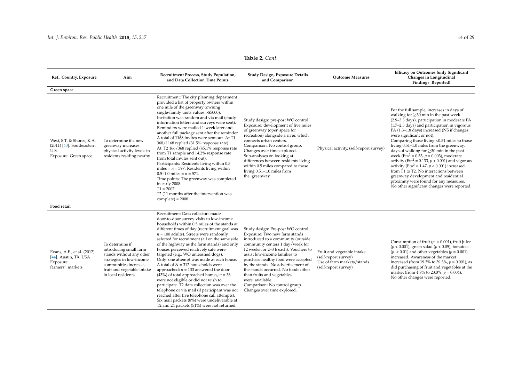| Ref., Country, Exposure                                                                   | Aim                                                                                                                                                                             | Recruitment Process, Study Population,<br>and Data Collection Time Points                                                                                                                                                                                                                                                                                                                                                                                                                                                                                                                                                                                                                                                                                                                                                                                                    | Study Design, Exposure Details<br>and Comparison                                                                                                                                                                                                                                                                                                                                                                                                             | <b>Outcome Measures</b>                                                                                  | <b>Efficacy on Outcomes (only Significant</b><br>Changes in Longitudinal<br><b>Findings Reported)</b>                                                                                                                                                                                                                                                                                                                                                                                                                                                                                                                                                                                                                                                                               |
|-------------------------------------------------------------------------------------------|---------------------------------------------------------------------------------------------------------------------------------------------------------------------------------|------------------------------------------------------------------------------------------------------------------------------------------------------------------------------------------------------------------------------------------------------------------------------------------------------------------------------------------------------------------------------------------------------------------------------------------------------------------------------------------------------------------------------------------------------------------------------------------------------------------------------------------------------------------------------------------------------------------------------------------------------------------------------------------------------------------------------------------------------------------------------|--------------------------------------------------------------------------------------------------------------------------------------------------------------------------------------------------------------------------------------------------------------------------------------------------------------------------------------------------------------------------------------------------------------------------------------------------------------|----------------------------------------------------------------------------------------------------------|-------------------------------------------------------------------------------------------------------------------------------------------------------------------------------------------------------------------------------------------------------------------------------------------------------------------------------------------------------------------------------------------------------------------------------------------------------------------------------------------------------------------------------------------------------------------------------------------------------------------------------------------------------------------------------------------------------------------------------------------------------------------------------------|
| Green space                                                                               |                                                                                                                                                                                 |                                                                                                                                                                                                                                                                                                                                                                                                                                                                                                                                                                                                                                                                                                                                                                                                                                                                              |                                                                                                                                                                                                                                                                                                                                                                                                                                                              |                                                                                                          |                                                                                                                                                                                                                                                                                                                                                                                                                                                                                                                                                                                                                                                                                                                                                                                     |
| West, S.T. & Shores, K.A.<br>$(2011)$ [43]. Southeastern<br>U.S.<br>Exposure: Green space | To determine if a new<br>greenway increases<br>physical activity levels in<br>residents residing nearby.                                                                        | Recruitment: The city planning department<br>provided a list of property owners within<br>one mile of the greenway (owning<br>single-family units values > \$5000).<br>Invitation was random and via mail (study<br>information letters and surveys were sent).<br>Reminders were mailed 1-week later and<br>another full package sent after the reminder.<br>A total of 1168 invites were sent out. At T1<br>368/1168 replied (31.5% response rate).<br>At T2 166/368 replied (45.1% response rate<br>from T1 sample and 14.2% response rate<br>from total invites sent out).<br>Participants: Residents living within 0.5<br>miles = $n = 597$ . Residents living within<br>$0.5-1.0$ miles = $n = 571$ .<br>Time points: The greenway was completed<br>in early 2008.<br>$T1 = 2007$ .<br>T2 (11 months after the intervention was<br>$complete) = 2008.$                 | Study design: pre-post WO control<br>Exposure: development of five miles<br>of greenway (open space for<br>recreation) alongside a river, which<br>connects urban centers.<br>Comparison: No control group.<br>Changes over time explored.<br>Sub-analyses on looking at<br>differences between residents living<br>within 0.5 miles compared to those<br>living $0.51-1.0$ miles from<br>the greenway.                                                      | Physical activity, (self-report survey)                                                                  | For the full sample, increases in days of<br>walking for $\geq$ 30 min in the past week<br>(2.9-3.3 days), participation in moderate PA<br>(1.7-2.3 days) and participation in vigorous<br>PA (1.3-1.8 days) increased (NS if changes<br>were significant or not).<br>Comparing those living <0.51 miles to those<br>living 0.51-1.0 miles from the greenway,<br>days of walking for $\geq$ 30 min in the past<br>week (Eta <sup>2</sup> = 0.53, $p = 0.003$ ), moderate<br>activity (Eta <sup>2</sup> = 0.133, $p < 0.001$ ) and vigorous<br>activity (Eta <sup>2</sup> = 1.47, $p < 0.001$ ) increased<br>from T1 to T2. No interactions between<br>greenway development and residential<br>proximity were found for any measures.<br>No other significant changes were reported. |
| Food retail                                                                               |                                                                                                                                                                                 |                                                                                                                                                                                                                                                                                                                                                                                                                                                                                                                                                                                                                                                                                                                                                                                                                                                                              |                                                                                                                                                                                                                                                                                                                                                                                                                                                              |                                                                                                          |                                                                                                                                                                                                                                                                                                                                                                                                                                                                                                                                                                                                                                                                                                                                                                                     |
| Evans, A.E., et al. (2012)<br>[44]. Austin, TX, USA<br>Exposure:<br>farmers' markets      | To determine if<br>introducing small farm<br>stands without any other<br>strategies in low-income<br>communities increases<br>fruit and vegetable intake<br>in local residents. | Recruitment: Data collectors made<br>door-to-door survey visits to low-income<br>households within 0.5 miles of the stands at<br>different times of day (recruitment goal was<br>$n = 100$ adults). Streets were randomly<br>selected for recruitment (all on the same side<br>of the highway as the farm stands) and only<br>houses perceived relatively safe were<br>targeted (e.g., WO unleashed dogs).<br>Only one attempt was made at each house.<br>A total of $N = 312$ households were<br>approached; $n = 133$ answered the door<br>(43%) of total approached homes; $n = 36$<br>were not eligible or did not wish to<br>participate. T2 data collection was over the<br>telephone or via mail (if participant was not<br>reached after five telephone call attempts).<br>Six mail packets (8%) were undeliverable at<br>T2 and 24 packets (51%) were not returned. | Study design: Pre-post WO control.<br>Exposure: Two new farm stands<br>introduced to a community (outside<br>community centers 1 day/week for<br>12 weeks for 2-3 h each). Vouchers to<br>assist low-income families to<br>purchase healthy food were accepted<br>by the stands. No advertisement of<br>the stands occurred. No foods other<br>than fruits and vegetables<br>were available.<br>Comparison: No control group.<br>Changes over time explored. | Fruit and vegetable intake<br>(self-report survey)<br>Use of farm markets/stands<br>(self-report survey) | Consumption of fruit ( $p < 0.001$ ), fruit juice<br>$(p < 0.001)$ , green salad $(p < 0.05)$ , tomatoes<br>$(p < 0.01)$ and other vegetables $(p = 0.001)$<br>increased. Awareness of the market<br>increased (from 19.3% to 39.3%, $p = 0.001$ ), as<br>did purchasing of fruit and vegetables at the<br>market (from 4.8% to 23.0%, $p = 0.004$ ).<br>No other changes were reported.                                                                                                                                                                                                                                                                                                                                                                                            |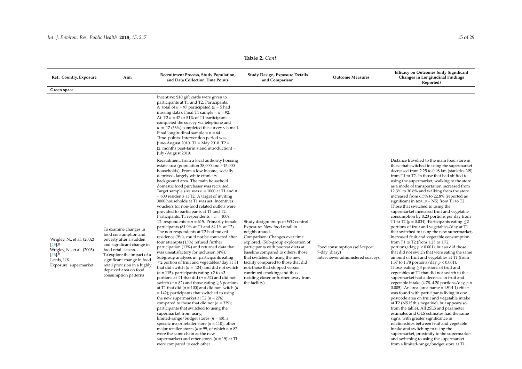| Ref., Country, Exposure                                                                                                              | Aim                                                                                                                                                                                                                                                                      | Recruitment Process, Study Population,<br>and Data Collection Time Points                                                                                                                                                                                                                                                                                                                                                                                                                                                                                                                                                                                                                                                                                                                                                                                                                                                                                                                                                                                                                                                                                                                                                                                                                                                                                                                                                                                                                                                                                                                                                                                                                                                                                               | Study Design, Exposure Details<br>and Comparison                                                                                                                                                                                                                                                                                                                                                                                              | <b>Outcome Measures</b>                                                            | <b>Efficacy on Outcomes (only Significant</b><br>Changes in Longitudinal Findings<br>Reported)                                                                                                                                                                                                                                                                                                                                                                                                                                                                                                                                                                                                                                                                                                                                                                                                                                                                                                                                                                                                                                                                                                                                                                                                                                                                                                                                                                                                                                                                                                                                                                                                                                                        |
|--------------------------------------------------------------------------------------------------------------------------------------|--------------------------------------------------------------------------------------------------------------------------------------------------------------------------------------------------------------------------------------------------------------------------|-------------------------------------------------------------------------------------------------------------------------------------------------------------------------------------------------------------------------------------------------------------------------------------------------------------------------------------------------------------------------------------------------------------------------------------------------------------------------------------------------------------------------------------------------------------------------------------------------------------------------------------------------------------------------------------------------------------------------------------------------------------------------------------------------------------------------------------------------------------------------------------------------------------------------------------------------------------------------------------------------------------------------------------------------------------------------------------------------------------------------------------------------------------------------------------------------------------------------------------------------------------------------------------------------------------------------------------------------------------------------------------------------------------------------------------------------------------------------------------------------------------------------------------------------------------------------------------------------------------------------------------------------------------------------------------------------------------------------------------------------------------------------|-----------------------------------------------------------------------------------------------------------------------------------------------------------------------------------------------------------------------------------------------------------------------------------------------------------------------------------------------------------------------------------------------------------------------------------------------|------------------------------------------------------------------------------------|-------------------------------------------------------------------------------------------------------------------------------------------------------------------------------------------------------------------------------------------------------------------------------------------------------------------------------------------------------------------------------------------------------------------------------------------------------------------------------------------------------------------------------------------------------------------------------------------------------------------------------------------------------------------------------------------------------------------------------------------------------------------------------------------------------------------------------------------------------------------------------------------------------------------------------------------------------------------------------------------------------------------------------------------------------------------------------------------------------------------------------------------------------------------------------------------------------------------------------------------------------------------------------------------------------------------------------------------------------------------------------------------------------------------------------------------------------------------------------------------------------------------------------------------------------------------------------------------------------------------------------------------------------------------------------------------------------------------------------------------------------|
| Green space                                                                                                                          |                                                                                                                                                                                                                                                                          |                                                                                                                                                                                                                                                                                                                                                                                                                                                                                                                                                                                                                                                                                                                                                                                                                                                                                                                                                                                                                                                                                                                                                                                                                                                                                                                                                                                                                                                                                                                                                                                                                                                                                                                                                                         |                                                                                                                                                                                                                                                                                                                                                                                                                                               |                                                                                    |                                                                                                                                                                                                                                                                                                                                                                                                                                                                                                                                                                                                                                                                                                                                                                                                                                                                                                                                                                                                                                                                                                                                                                                                                                                                                                                                                                                                                                                                                                                                                                                                                                                                                                                                                       |
|                                                                                                                                      |                                                                                                                                                                                                                                                                          | Incentive: \$10 gift cards were given to<br>participants at T1 and T2. Participants:<br>A total of $n = 97$ participated ( $n = 5$ had<br>missing data). Final T1 sample = $n = 92$ .<br>At T2 $n = 47$ or 51% of T1 participants<br>completed the survey via telephone and<br>$n = 17$ (36%) completed the survey via mail.<br>Final longitudinal sample = $n = 64$ .<br>Time points: Intervention period was<br>June-August 2010. T1 = May 2010. T2 =<br>(2 months post-farm stand introduction) =<br>July/August 2010.                                                                                                                                                                                                                                                                                                                                                                                                                                                                                                                                                                                                                                                                                                                                                                                                                                                                                                                                                                                                                                                                                                                                                                                                                                               |                                                                                                                                                                                                                                                                                                                                                                                                                                               |                                                                                    |                                                                                                                                                                                                                                                                                                                                                                                                                                                                                                                                                                                                                                                                                                                                                                                                                                                                                                                                                                                                                                                                                                                                                                                                                                                                                                                                                                                                                                                                                                                                                                                                                                                                                                                                                       |
| Wrigley, N., et al. (2002)<br>$[45]$ $]8$<br>Wrigley, N., et al. (2003)<br>$[46]$ <sup>h</sup><br>Leeds, UK<br>Exposure: supermarket | To examine changes in<br>food consumption and<br>poverty after a sudden<br>and significant change in<br>food retail access.<br>To explore the impact of a<br>significant change in food<br>retail provision in a highly<br>deprived area on food<br>consumption patterns | Recruitment: from a local authority housing<br>estate area (population $38,000$ and $~15,000$<br>households). From a low income, socially<br>deprived, largely white ethnicity<br>background area. The main household<br>domestic food purchaser was recruited.<br>Target sample size was $n = 1000$ at T1 and $n = 1000$<br>$= 600$ residents at T2. A target of inviting<br>3000 households at T1 was set. Incentives:<br>vouchers for non-food related outlets were<br>provided to participants at T1 and T2.<br>Participants: T1 respondents = $n = 1009$ .<br>T2 respondents = $n = 615$ . Primarily female<br>participants (81.9% at T1 and 84.1% at T2).<br>The non-respondents at T2 had moved<br>residence (9%), could not be contacted after<br>four attempts (13%) refused further<br>participation (13%) and returned data that<br>was unsatisfactory for inclusion (4%).<br>Subgroup analyses in: participants eating<br>$\leq$ 2 portion of fruit and vegetables/day at T1<br>that did switch ( $n = 124$ ) and did not switch<br>$(n = 115)$ , participants eating >2 to <3<br>portions at T1 that did ( $n = 52$ ) and did not<br>switch ( $n = 82$ ) and those eating $\geq$ 3 portions<br>at T1 that did ( $n = 100$ ) and did not switch ( $n$<br>$= 142$ ); participants that switched to using<br>the new supermarket at T2 ( $n = 276$ )<br>compared to those that did not ( $n = 339$ );<br>participants that switched to using the<br>supermarket from using<br>limited-range/budget stores ( $n = 48$ ), a<br>specific major retailer store ( $n = 110$ ), other<br>major retailer stores ( $n = 99$ , of which $n = 87$<br>were the same chain as the new<br>supermarket) and other stores ( $n = 19$ ) at T1<br>were compared to each other. | Study design: pre-post WO control.<br>Exposure: New food retail in<br>neighborhood.<br>Comparison: Changes over time<br>explored. (Sub-group exploration of:<br>participants with poorest diets at<br>baseline compared to others; those<br>that switched to using the new<br>facility compared to those that did<br>not; those that stopped versus<br>continued smoking; and those<br>residing closer or further away from<br>the facility). | Food consumption (self-report,<br>7-day diary)<br>Interviewer administered surveys | Distance travelled to the main food store in<br>those that switched to using the supermarket<br>decreased from 2.25 to 0.98 km (statistics NS)<br>from T1 to T2. In those that had shifted to<br>using the supermarket, walking to the store<br>as a mode of transportation increased from<br>12.3% to 30.8% and walking from the store<br>increased from 6.5% to 22.8% (reported as<br>significant in text, $p = NS$ ) from T1 to T2.<br>Those that switched to using the<br>supermarket increased fruit and vegetable<br>consumption by 0.23 portions per day from<br>T1 to T2 ( $p = 0.034$ ). Participants eating $\leq$ 2<br>portions of fruit and vegetables/day at T1<br>that switched to using the new supermarket,<br>increased fruit and vegetable consumption<br>from T1 to T2 (from 1.25 to 1.72<br>portions/day, $p < 0.001$ ), but so did those<br>that did not switch that were eating the same<br>amount of fruit and vegetables at T1 (from<br>1.37 to 1.78 portions/day, $p < 0.001$ ).<br>Those eating $\geq$ 3 portions of fruit and<br>vegetables at T1 that did not switch to the<br>supermarket had a decrease in fruit and<br>vegetable intake (4.78–4.20 portions/day, $p =$<br>$0.005$ ). An area (area name = LS14 1) effect<br>was found with participants living in one<br>postcode area on fruit and vegetable intake<br>at T2 (NS if this negative), but appears so<br>from the table). All 2SLS and parameter<br>estimates and OLS estimates had the same<br>signs, with greater significance in<br>relationships between fruit and vegetable<br>intake and switching to using the<br>supermarket, proximity to the supermarket<br>and switching to using the supermarket<br>from a limited-range/budget store at T1. |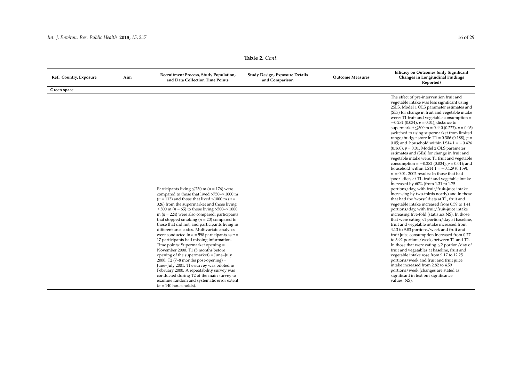| Ref., Country, Exposure | Aim | Recruitment Process, Study Population,<br>Study Design, Exposure Details<br>and Data Collection Time Points<br>and Comparison                                                                                                                                                                                                                                                                                                                                                                                                                                                                                                                                                                                                                                                                                                                                                                                                                                  |  | <b>Outcome Measures</b> | <b>Efficacy on Outcomes (only Significant</b><br>Changes in Longitudinal Findings<br>Reported)                                                                                                                                                                                                                                                                                                                                                                                                                                                                                                                                                                                                                                                                                                                                                                                                                                                                                                                                                                                                                                                                                                                                                                                                                                                                                                                                                                                                                                                                                                                                                                                                                                                                  |  |  |  |
|-------------------------|-----|----------------------------------------------------------------------------------------------------------------------------------------------------------------------------------------------------------------------------------------------------------------------------------------------------------------------------------------------------------------------------------------------------------------------------------------------------------------------------------------------------------------------------------------------------------------------------------------------------------------------------------------------------------------------------------------------------------------------------------------------------------------------------------------------------------------------------------------------------------------------------------------------------------------------------------------------------------------|--|-------------------------|-----------------------------------------------------------------------------------------------------------------------------------------------------------------------------------------------------------------------------------------------------------------------------------------------------------------------------------------------------------------------------------------------------------------------------------------------------------------------------------------------------------------------------------------------------------------------------------------------------------------------------------------------------------------------------------------------------------------------------------------------------------------------------------------------------------------------------------------------------------------------------------------------------------------------------------------------------------------------------------------------------------------------------------------------------------------------------------------------------------------------------------------------------------------------------------------------------------------------------------------------------------------------------------------------------------------------------------------------------------------------------------------------------------------------------------------------------------------------------------------------------------------------------------------------------------------------------------------------------------------------------------------------------------------------------------------------------------------------------------------------------------------|--|--|--|
| Green space             |     |                                                                                                                                                                                                                                                                                                                                                                                                                                                                                                                                                                                                                                                                                                                                                                                                                                                                                                                                                                |  |                         |                                                                                                                                                                                                                                                                                                                                                                                                                                                                                                                                                                                                                                                                                                                                                                                                                                                                                                                                                                                                                                                                                                                                                                                                                                                                                                                                                                                                                                                                                                                                                                                                                                                                                                                                                                 |  |  |  |
|                         |     | Participants living $\leq$ 750 m ( <i>n</i> = 176) were<br>compared to those that lived >750-<1000 m<br>$(n = 113)$ and those that lived >1000 m $(n =$<br>326) from the supermarket and those living<br>$\leq$ 500 m ( <i>n</i> = 65) to those living >500- $\leq$ 1000<br>m ( $n = 224$ ) were also compared; participants<br>that stopped smoking ( $n = 20$ ) compared to<br>those that did not; and participants living in<br>different area codes. Multivariate analyses<br>were conducted in $n = 598$ participants as $n =$<br>17 participants had missing information.<br>Time points: Supermarket opening =<br>November 2000. T1 (5 months before<br>opening of the supermarket) = June-July<br>2000. T2 (7-8 months post-opening) =<br>June-July 2001. The survey was piloted in<br>February 2000. A repeatability survey was<br>conducted during T2 of the main survey to<br>examine random and systematic error extent<br>$(n = 140$ households). |  |                         | The effect of pre-intervention fruit and<br>vegetable intake was less significant using<br>2SLS. Model 1 OLS parameter estimates and<br>(SEs) for change in fruit and vegetable intake<br>were: T1 fruit and vegetable consumption =<br>$-0.281$ (0.034), $p = 0.01$ ); distance to<br>supermarket $\leq$ 500 m = 0.440 (0.227), p = 0.05;<br>switched to using supermarket from limited<br>range/budget store in T1 = 0.386 (0.188), $p =$<br>0.05; and household within LS14 $1 = -0.426$<br>$(0.160)$ , $p = 0.01$ . Model 2 OLS parameter<br>estimates and (SEs) for change in fruit and<br>vegetable intake were: T1 fruit and vegetable<br>consumption = $-0.282$ (0.034), $p = 0.01$ ); and<br>household within LS14 1 = $-0.429$ (0.159),<br>$p = 0.01$ . 2002 results: In those that had<br>'poor' diets at T1, fruit and vegetable intake<br>increased by 60% (from 1.31 to 1.75<br>portions/day, with fruit/fruit-juice intake<br>increasing by two-thirds nearly) and in those<br>that had the 'worst' diets at T1, fruit and<br>vegetable intake increased from 0.59 to 1.41<br>portions/day, with fruit/fruit-juice intake<br>increasing five-fold (statistics NS). In those<br>that were eating <1 portion/day at baseline,<br>fruit and vegetable intake increased from<br>4.13 to 9.83 portions/week and fruit and<br>fruit juice consumption increased from 0.77<br>to 3.92 portions/week, between T1 and T2.<br>In those that were eating $\leq$ 2 portion/day of<br>fruit and vegetables at baseline, fruit and<br>vegetable intake rose from 9.17 to 12.25<br>portions/week and fruit and fruit juice<br>intake increased from 2.82 to 4.59<br>portions/week (changes are stated as<br>significant in text but significance<br>values NS). |  |  |  |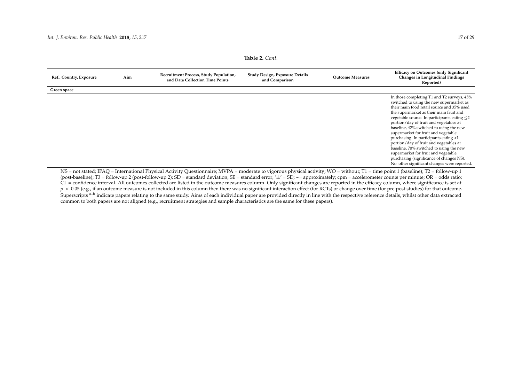| Table 2. Cont. |  |  |
|----------------|--|--|
|----------------|--|--|

| Ref., Country, Exposure | Aim | Recruitment Process, Study Population,<br>and Data Collection Time Points | Study Design, Exposure Details<br>and Comparison | <b>Outcome Measures</b> | <b>Efficacy on Outcomes (only Significant</b><br>Changes in Longitudinal Findings<br>Reported)                                                                                                                                                                                                                                                                                                                                                                                                                                                                                                                                   |
|-------------------------|-----|---------------------------------------------------------------------------|--------------------------------------------------|-------------------------|----------------------------------------------------------------------------------------------------------------------------------------------------------------------------------------------------------------------------------------------------------------------------------------------------------------------------------------------------------------------------------------------------------------------------------------------------------------------------------------------------------------------------------------------------------------------------------------------------------------------------------|
| Green space             |     |                                                                           |                                                  |                         |                                                                                                                                                                                                                                                                                                                                                                                                                                                                                                                                                                                                                                  |
|                         |     |                                                                           |                                                  |                         | In those completing T1 and T2 surveys, 45%<br>switched to using the new supermarket as<br>their main food retail source and 35% used<br>the supermarket as their main fruit and<br>vegetable source. In participants eating $\leq$ 2<br>portion/day of fruit and vegetables at<br>baseline, 42% switched to using the new<br>supermarket for fruit and vegetable<br>purchasing. In participants eating <1<br>portion/day of fruit and vegetables at<br>baseline, 70% switched to using the new<br>supermarket for fruit and vegetable<br>purchasing (significance of changes NS).<br>No other significant changes were reported. |

<span id="page-18-0"></span>NS = not stated; IPAQ = International Physical Activity Questionnaire; MVPA = moderate to vigorous physical activity; WO = without; T1 = time point 1 (baseline); T2 = follow-up 1 (post-baseline); T3 = follow-up 2 (post-follow-up 2);  $SD =$  standard deviation; SE = standard error; ' $\pm$ ' = SD;  $\approx$  = approximately; cpm = accelerometer counts per minute; OR = odds ratio; CI = confidence interval. All outcomes collected are listed in the outcome measures column. Only significant changes are reported in the efficacy column, where significance is set at  $p < 0.05$  (e.g., if an outcome measure is not included in this column then there was no significant interaction effect (for RCTs) or change over time (for pre-post studies) for that outcome. Superscripts <sup>a–h</sup> indicate papers relating to the same study. Aims of each individual paper are provided directly in line with the respective reference details, whilst other data extracted common to both papers are not aligned (e.g., recruitment strategies and sample characteristics are the same for these papers).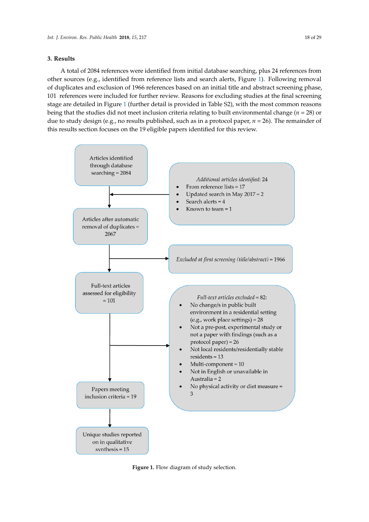# **3. Results 3. Results**

A total of 2084 references were identified from initial database searching, plus 24 references from A total of 2084 references were identified from initial database searching, plus 24 references from other sources (e.g., identified from reference lists and search alerts, Figure [1\)](#page-19-0). Following removal of duplicates and exclusion of 1966 references based on an initial title and abstract screening phase, 101 references were included for further review. Reasons for excluding studies at the final screening stage are detailed in Figure [1](#page-19-0) (further detail is provided in Table S2), with the most common reasons being that the studies did not meet inclusion criteria relating to built environmental change ( $n = 28$ ) or due to study design (e.g., no results published, such as in a protocol paper, *n* = 26). The remainder of this results section focuses on the 19 eligible papers identified for this review.

<span id="page-19-0"></span>

**Figure 1.** Flow diagram of study selection. **Figure 1.** Flow diagram of study selection.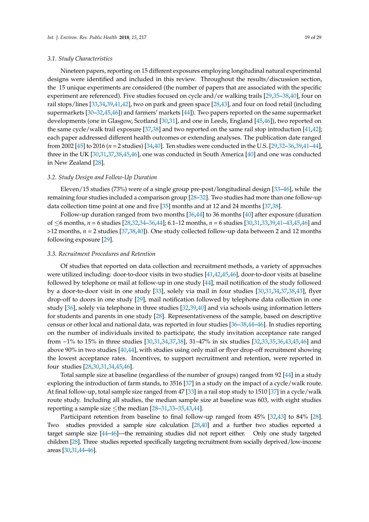## *3.1. Study Characteristics*

Nineteen papers, reporting on 15 different exposures employing longitudinal natural experimental designs were identified and included in this review. Throughout the results/discussion section, the 15 unique experiments are considered (the number of papers that are associated with the specific experiment are referenced). Five studies focused on cycle and/or walking trails [\[29,](#page-28-20)[35–](#page-28-21)[38](#page-28-22)[,40\]](#page-28-23), four on rail stops/lines [\[33](#page-28-24)[,34](#page-28-25)[,39](#page-28-26)[,41,](#page-29-6)[42\]](#page-29-7), two on park and green space [\[28](#page-28-27)[,43\]](#page-29-8), and four on food retail (including supermarkets [\[30](#page-28-28)[–32](#page-28-29)[,45](#page-29-9)[,46\]](#page-29-10)) and farmers' markets [\[44\]](#page-29-11)). Two papers reported on the same supermarket developments (one in Glasgow, Scotland [\[30,](#page-28-28)[31\]](#page-28-30), and one in Leeds, England [\[45](#page-29-9)[,46\]](#page-29-10)), two reported on the same cycle/walk trail exposure [\[37](#page-28-31)[,38\]](#page-28-22) and two reported on the same rail stop introduction [\[41](#page-29-6)[,42\]](#page-29-7); each paper addressed different health outcomes or extending analyses. The publication date ranged from 2002 [\[45\]](#page-29-9) to 2016 (*n* = 2 studies) [\[34](#page-28-25)[,40\]](#page-28-23). Ten studies were conducted in the U.S. [\[29](#page-28-20)[,32–](#page-28-29)[36,](#page-28-32)[39](#page-28-26)[,41](#page-29-6)[–44\]](#page-29-11), three in the UK [\[30](#page-28-28)[,31](#page-28-30)[,37,](#page-28-31)[38,](#page-28-22)[45,](#page-29-9)[46\]](#page-29-10), one was conducted in South America [\[40\]](#page-28-23) and one was conducted in New Zealand [\[28\]](#page-28-27).

# *3.2. Study Design and Follow-Up Duration*

Eleven/15 studies (73%) were of a single group pre-post/longitudinal design [\[33](#page-28-24)[–46\]](#page-29-10), while the remaining four studies included a comparison group [\[28](#page-28-27)[–32\]](#page-28-29). Two studies had more than one follow-up data collection time point at one and five [\[35\]](#page-28-21) months and at 12 and 24 months [\[37](#page-28-31)[,38\]](#page-28-22).

Follow-up duration ranged from two months [\[36,](#page-28-32)[44\]](#page-29-11) to 36 months [\[40\]](#page-28-23) after exposure (duration of ≤6 months, *n* = 6 studies [\[28](#page-28-27)[,32](#page-28-29)[,34](#page-28-25)[–36,](#page-28-32)[44\]](#page-29-11); 6.1–12 months, *n* = 6 studies [\[30](#page-28-28)[,31,](#page-28-30)[33,](#page-28-24)[39,](#page-28-26)[41–](#page-29-6)[43,](#page-29-8)[45,](#page-29-9)[46\]](#page-29-10) and >12 months, *n* = 2 studies [\[37,](#page-28-31)[38,](#page-28-22)[40\]](#page-28-23)). One study collected follow-up data between 2 and 12 months following exposure [\[29\]](#page-28-20).

# *3.3. Recruitment Procedures and Retention*

Of studies that reported on data collection and recruitment methods, a variety of approaches were utilized including: door-to-door visits in two studies [\[41,](#page-29-6)[42](#page-29-7)[,45](#page-29-9)[,46\]](#page-29-10), door-to-door visits at baseline followed by telephone or mail at follow-up in one study [\[44\]](#page-29-11), mail notification of the study followed by a door-to-door visit in one study [\[33\]](#page-28-24), solely via mail in four studies [\[30](#page-28-28)[,31](#page-28-30)[,34](#page-28-25)[,37](#page-28-31)[,38](#page-28-22)[,43\]](#page-29-8), flyer drop-off to doors in one study [\[29\]](#page-28-20), mail notification followed by telephone data collection in one study [\[36\]](#page-28-32), solely via telephone in three studies [\[32,](#page-28-29)[39,](#page-28-26)[40\]](#page-28-23) and via schools using information letters for students and parents in one study [\[28\]](#page-28-27). Representativeness of the sample, based on descriptive census or other local and national data, was reported in four studies [\[36](#page-28-32)[–38](#page-28-22)[,44](#page-29-11)[–46\]](#page-29-10). In studies reporting on the number of individuals invited to participate, the study invitation acceptance rate ranged from ~1% to 15% in three studies [\[30,](#page-28-28)[31,](#page-28-30)[34,](#page-28-25)[37,](#page-28-31)[38\]](#page-28-22), 31–47% in six studies [\[32](#page-28-29)[,33](#page-28-24)[,35](#page-28-21)[,36](#page-28-32)[,43](#page-29-8)[,45](#page-29-9)[,46\]](#page-29-10) and above 90% in two studies [\[40,](#page-28-23)[44\]](#page-29-11), with studies using only mail or flyer drop-off recruitment showing the lowest acceptance rates. Incentives, to support recruitment and retention, were reported in four studies [\[28](#page-28-27)[,30](#page-28-28)[,31](#page-28-30)[,34](#page-28-25)[,45](#page-29-9)[,46\]](#page-29-10).

Total sample size at baseline (regardless of the number of groups) ranged from 92 [\[44\]](#page-29-11) in a study exploring the introduction of farm stands, to 3516 [\[37\]](#page-28-31) in a study on the impact of a cycle/walk route. At final follow-up, total sample size ranged from 47 [\[33\]](#page-28-24) in a rail stop study to 1510 [\[37\]](#page-28-31) in a cycle/walk route study. Including all studies, the median sample size at baseline was 603, with eight studies reporting a sample size  $\leq$ the median [\[28](#page-28-27)[–31,](#page-28-30)[33–](#page-28-24)[35](#page-28-21)[,43](#page-29-8)[,44\]](#page-29-11).

Participant retention from baseline to final follow-up ranged from 45% [\[32,](#page-28-29)[43\]](#page-29-8) to 84% [\[28\]](#page-28-27). Two studies provided a sample size calculation [\[28,](#page-28-27)[40\]](#page-28-23) and a further two studies reported a target sample size [\[44–](#page-29-11)[46\]](#page-29-10)—the remaining studies did not report either. Only one study targeted children [\[28\]](#page-28-27). Three studies reported specifically targeting recruitment from socially deprived/low-income areas [\[30](#page-28-28)[,31,](#page-28-30)[44–](#page-29-11)[46\]](#page-29-10).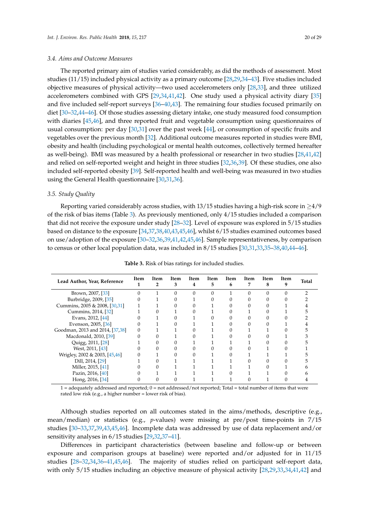#### *3.4. Aims and Outcome Measures*

The reported primary aim of studies varied considerably, as did the methods of assessment. Most studies (11/15) included physical activity as a primary outcome [\[28,](#page-28-27)[29](#page-28-20)[,34–](#page-28-25)[43\]](#page-29-8). Five studies included objective measures of physical activity—two used accelerometers only [\[28,](#page-28-27)[33\]](#page-28-24), and three utilized accelerometers combined with GPS [\[29](#page-28-20)[,34](#page-28-25)[,41](#page-29-6)[,42\]](#page-29-7). One study used a physical activity diary [\[35\]](#page-28-21) and five included self-report surveys [\[36–](#page-28-32)[40](#page-28-23)[,43\]](#page-29-8). The remaining four studies focused primarily on diet [\[30](#page-28-28)[–32](#page-28-29)[,44–](#page-29-11)[46\]](#page-29-10). Of those studies assessing dietary intake, one study measured food consumption with diaries [\[45,](#page-29-9)[46\]](#page-29-10), and three reported fruit and vegetable consumption using questionnaires of usual consumption: per day [\[30](#page-28-28)[,31\]](#page-28-30) over the past week [\[44\]](#page-29-11), or consumption of specific fruits and vegetables over the previous month [\[32\]](#page-28-29). Additional outcome measures reported in studies were BMI, obesity and health (including psychological or mental health outcomes, collectively termed hereafter as well-being). BMI was measured by a health professional or researcher in two studies [\[28](#page-28-27)[,41](#page-29-6)[,42\]](#page-29-7) and relied on self-reported weight and height in three studies [\[32,](#page-28-29)[36,](#page-28-32)[39\]](#page-28-26). Of these studies, one also included self-reported obesity [\[39\]](#page-28-26). Self-reported health and well-being was measured in two studies using the General Health questionnaire [\[30](#page-28-28)[,31](#page-28-30)[,36\]](#page-28-32).

#### *3.5. Study Quality*

Reporting varied considerably across studies, with 13/15 studies having a high-risk score in  $\geq$ 4/9 of the risk of bias items (Table [3\)](#page-21-0). As previously mentioned, only 4/15 studies included a comparison that did not receive the exposure under study [\[28](#page-28-27)[–32\]](#page-28-29). Level of exposure was explored in 5/15 studies based on distance to the exposure [\[34,](#page-28-25)[37,](#page-28-31)[38](#page-28-22)[,40](#page-28-23)[,43,](#page-29-8)[45,](#page-29-9)[46\]](#page-29-10), whilst 6/15 studies examined outcomes based on use/adoption of the exposure [\[30](#page-28-28)[–32](#page-28-29)[,36,](#page-28-32)[39,](#page-28-26)[41,](#page-29-6)[42](#page-29-7)[,45](#page-29-9)[,46\]](#page-29-10). Sample representativeness, by comparison to census or other local population data, was included in 8/15 studies [\[30,](#page-28-28)[31,](#page-28-30)[33,](#page-28-24)[35](#page-28-21)[–38](#page-28-22)[,40](#page-28-23)[,44](#page-29-11)[–46\]](#page-29-10).

<span id="page-21-0"></span>

| Lead Author, Year, Reference    | <b>Item</b> | Item<br>2 | <b>Item</b><br>3 | <b>Item</b><br>4 | <b>Item</b><br>5 | <b>Item</b><br>6 | Item<br>7 | <b>Item</b><br>8 | Item<br>9 | <b>Total</b> |
|---------------------------------|-------------|-----------|------------------|------------------|------------------|------------------|-----------|------------------|-----------|--------------|
| Brown, 2007, [33]               | $\Omega$    |           |                  |                  |                  |                  |           |                  |           |              |
| Burbridge, 2009, [35]           |             |           |                  |                  |                  |                  |           |                  |           |              |
| Cummins, 2005 & 2008, [30,31]   |             |           |                  |                  |                  |                  |           |                  |           |              |
| Cummins, 2014, [32]             |             |           |                  |                  |                  |                  |           |                  |           |              |
| Evans, 2012, [44]               |             |           |                  |                  |                  |                  |           |                  |           |              |
| Evenson, 2005, [36]             | 0           |           |                  |                  |                  |                  |           |                  |           |              |
| Goodman, 2013 and 2014, [37,38] | 0           |           |                  |                  |                  |                  |           |                  |           |              |
| Macdonald, 2010, [39]           |             |           |                  |                  |                  |                  |           |                  |           |              |
| Quigg, 2011, [28]               |             |           |                  |                  |                  |                  |           |                  |           |              |
| West, 2011, [43]                |             |           |                  |                  |                  |                  |           |                  |           |              |
| Wrigley, 2002 & 2003, [45,46]   |             |           |                  |                  |                  |                  |           |                  |           |              |
| Dill, 2014, [29]                |             |           |                  |                  |                  |                  |           |                  |           |              |
| Miller, 2015, [41]              |             |           |                  |                  |                  |                  |           |                  |           |              |
| Pazin, 2016, [40]               |             |           |                  |                  |                  |                  |           |                  |           |              |
| Hong, 2016, [34]                |             |           |                  |                  |                  |                  |           |                  |           |              |

**Table 3.** Risk of bias ratings for included studies.

 $1 =$  adequately addressed and reported;  $0 =$  not addressed/not reported; Total = total number of items that were rated low risk (e.g., a higher number = lower risk of bias).

Although studies reported on all outcomes stated in the aims/methods, descriptive (e.g., mean/median) or statistics (e.g., *p*-values) were missing at pre/post time-points in 7/15 studies [\[30](#page-28-28)[–33,](#page-28-24)[37](#page-28-31)[,39](#page-28-26)[,43](#page-29-8)[,45](#page-29-9)[,46\]](#page-29-10). Incomplete data was addressed by use of data replacement and/or sensitivity analyses in 6/15 studies [\[29,](#page-28-20)[32,](#page-28-29)[37](#page-28-31)[–41\]](#page-29-6).

Differences in participant characteristics (between baseline and follow-up or between exposure and comparison groups at baseline) were reported and/or adjusted for in 11/15 studies [\[28](#page-28-27)[–32](#page-28-29)[,34](#page-28-25)[,36](#page-28-32)[–41,](#page-29-6)[45,](#page-29-9)[46\]](#page-29-10). The majority of studies relied on participant self-report data, with only 5/15 studies including an objective measure of physical activity [\[28](#page-28-27)[,29](#page-28-20)[,33](#page-28-24)[,34](#page-28-25)[,41](#page-29-6)[,42\]](#page-29-7) and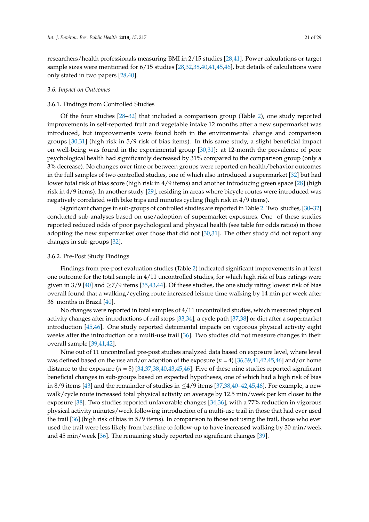researchers/health professionals measuring BMI in 2/15 studies [\[28,](#page-28-27)[41\]](#page-29-6). Power calculations or target sample sizes were mentioned for 6/15 studies [\[28,](#page-28-27)[32,](#page-28-29)[38,](#page-28-22)[40,](#page-28-23)[41,](#page-29-6)[45,](#page-29-9)[46\]](#page-29-10), but details of calculations were only stated in two papers [\[28,](#page-28-27)[40\]](#page-28-23).

#### *3.6. Impact on Outcomes*

#### 3.6.1. Findings from Controlled Studies

Of the four studies [\[28](#page-28-27)[–32\]](#page-28-29) that included a comparison group (Table [2\)](#page-18-0), one study reported improvements in self-reported fruit and vegetable intake 12 months after a new supermarket was introduced, but improvements were found both in the environmental change and comparison groups [\[30](#page-28-28)[,31\]](#page-28-30) (high risk in 5/9 risk of bias items). In this same study, a slight beneficial impact on well-being was found in the experimental group [\[30](#page-28-28)[,31\]](#page-28-30): at 12-month the prevalence of poor psychological health had significantly decreased by 31% compared to the comparison group (only a 3% decrease). No changes over time or between groups were reported on health/behavior outcomes in the full samples of two controlled studies, one of which also introduced a supermarket [\[32\]](#page-28-29) but had lower total risk of bias score (high risk in 4/9 items) and another introducing green space [\[28\]](#page-28-27) (high risk in 4/9 items). In another study [\[29\]](#page-28-20), residing in areas where bicycle routes were introduced was negatively correlated with bike trips and minutes cycling (high risk in 4/9 items).

Significant changes in sub-groups of controlled studies are reported in Table [2.](#page-18-0) Two studies, [\[30–](#page-28-28)[32\]](#page-28-29) conducted sub-analyses based on use/adoption of supermarket exposures. One of these studies reported reduced odds of poor psychological and physical health (see table for odds ratios) in those adopting the new supermarket over those that did not [\[30](#page-28-28)[,31\]](#page-28-30). The other study did not report any changes in sub-groups [\[32\]](#page-28-29).

## 3.6.2. Pre-Post Study Findings

Findings from pre-post evaluation studies (Table [2\)](#page-18-0) indicated significant improvements in at least one outcome for the total sample in 4/11 uncontrolled studies, for which high risk of bias ratings were given in 3/9 [\[40\]](#page-28-23) and  $\geq$ 7/9 items [\[35,](#page-28-21)[43](#page-29-8)[,44\]](#page-29-11). Of these studies, the one study rating lowest risk of bias overall found that a walking/cycling route increased leisure time walking by 14 min per week after 36 months in Brazil [\[40\]](#page-28-23).

No changes were reported in total samples of 4/11 uncontrolled studies, which measured physical activity changes after introductions of rail stops [\[33,](#page-28-24)[34\]](#page-28-25), a cycle path [\[37](#page-28-31)[,38\]](#page-28-22) or diet after a supermarket introduction [\[45](#page-29-9)[,46\]](#page-29-10). One study reported detrimental impacts on vigorous physical activity eight weeks after the introduction of a multi-use trail [\[36\]](#page-28-32). Two studies did not measure changes in their overall sample [\[39,](#page-28-26)[41](#page-29-6)[,42\]](#page-29-7).

Nine out of 11 uncontrolled pre-post studies analyzed data based on exposure level, where level was defined based on the use and/or adoption of the exposure (*n* = 4) [\[36,](#page-28-32)[39,](#page-28-26)[41](#page-29-6)[,42](#page-29-7)[,45,](#page-29-9)[46\]](#page-29-10) and/or home distance to the exposure (*n* = 5) [\[34,](#page-28-25)[37,](#page-28-31)[38,](#page-28-22)[40,](#page-28-23)[43,](#page-29-8)[45,](#page-29-9)[46\]](#page-29-10). Five of these nine studies reported significant beneficial changes in sub-groups based on expected hypotheses, one of which had a high risk of bias in 8/9 items [\[43\]](#page-29-8) and the remainder of studies in  $\leq$ 4/9 items [\[37,](#page-28-31)[38,](#page-28-22)[40](#page-28-23)[–42,](#page-29-7)[45](#page-29-9)[,46\]](#page-29-10). For example, a new walk/cycle route increased total physical activity on average by 12.5 min/week per km closer to the exposure [\[38\]](#page-28-22). Two studies reported unfavorable changes [\[34,](#page-28-25)[36\]](#page-28-32), with a 77% reduction in vigorous physical activity minutes/week following introduction of a multi-use trail in those that had ever used the trail [\[36\]](#page-28-32) (high risk of bias in 5/9 items). In comparison to those not using the trail, those who ever used the trail were less likely from baseline to follow-up to have increased walking by 30 min/week and 45 min/week [\[36\]](#page-28-32). The remaining study reported no significant changes [\[39\]](#page-28-26).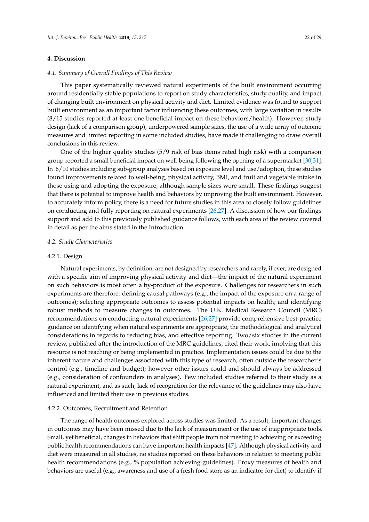### **4. Discussion**

#### *4.1. Summary of Overall Findings of This Review*

This paper systematically reviewed natural experiments of the built environment occurring around residentially stable populations to report on study characteristics, study quality, and impact of changing built environment on physical activity and diet. Limited evidence was found to support built environment as an important factor influencing these outcomes, with large variation in results (8/15 studies reported at least one beneficial impact on these behaviors/health). However, study design (lack of a comparison group), underpowered sample sizes, the use of a wide array of outcome measures and limited reporting in some included studies, have made it challenging to draw overall conclusions in this review.

One of the higher quality studies (5/9 risk of bias items rated high risk) with a comparison group reported a small beneficial impact on well-being following the opening of a supermarket [\[30](#page-28-28)[,31\]](#page-28-30). In 6/10 studies including sub-group analyses based on exposure level and use/adoption, these studies found improvements related to well-being, physical activity, BMI, and fruit and vegetable intake in those using and adopting the exposure, although sample sizes were small. These findings suggest that there is potential to improve health and behaviors by improving the built environment. However, to accurately inform policy, there is a need for future studies in this area to closely follow guidelines on conducting and fully reporting on natural experiments [\[26](#page-28-5)[,27\]](#page-28-6). A discussion of how our findings support and add to this previously published guidance follows, with each area of the review covered in detail as per the aims stated in the Introduction.

#### *4.2. Study Characteristics*

#### 4.2.1. Design

Natural experiments, by definition, are not designed by researchers and rarely, if ever, are designed with a specific aim of improving physical activity and diet—the impact of the natural experiment on such behaviors is most often a by-product of the exposure. Challenges for researchers in such experiments are therefore: defining causal pathways (e.g., the impact of the exposure on a range of outcomes); selecting appropriate outcomes to assess potential impacts on health; and identifying robust methods to measure changes in outcomes. The U.K. Medical Research Council (MRC) recommendations on conducting natural experiments [\[26,](#page-28-5)[27\]](#page-28-6) provide comprehensive best-practice guidance on identifying when natural experiments are appropriate, the methodological and analytical considerations in regards to reducing bias, and effective reporting. Two/six studies in the current review, published after the introduction of the MRC guidelines, cited their work, implying that this resource is not reaching or being implemented in practice. Implementation issues could be due to the inherent nature and challenges associated with this type of research, often outside the researcher's control (e.g., timeline and budget); however other issues could and should always be addressed (e.g., consideration of confounders in analyses). Few included studies referred to their study as a natural experiment, and as such, lack of recognition for the relevance of the guidelines may also have influenced and limited their use in previous studies.

#### 4.2.2. Outcomes, Recruitment and Retention

The range of health outcomes explored across studies was limited. As a result, important changes in outcomes may have been missed due to the lack of measurement or the use of inappropriate tools. Small, yet beneficial, changes in behaviors that shift people from not meeting to achieving or exceeding public health recommendations can have important health impacts [\[47\]](#page-29-12). Although physical activity and diet were measured in all studies, no studies reported on these behaviors in relation to meeting public health recommendations (e.g., % population achieving guidelines). Proxy measures of health and behaviors are useful (e.g., awareness and use of a fresh food store as an indicator for diet) to identify if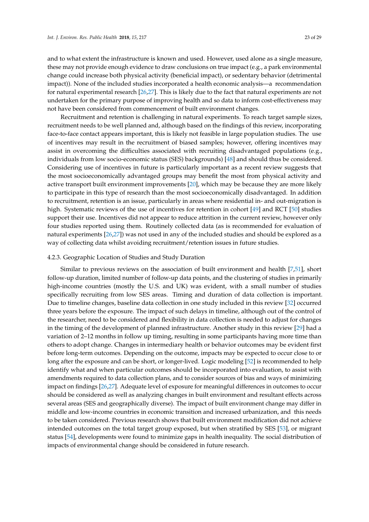and to what extent the infrastructure is known and used. However, used alone as a single measure, these may not provide enough evidence to draw conclusions on true impact (e.g., a park environmental change could increase both physical activity (beneficial impact), or sedentary behavior (detrimental impact)). None of the included studies incorporated a health economic analysis—a recommendation for natural experimental research [\[26](#page-28-5)[,27\]](#page-28-6). This is likely due to the fact that natural experiments are not undertaken for the primary purpose of improving health and so data to inform cost-effectiveness may not have been considered from commencement of built environment changes.

Recruitment and retention is challenging in natural experiments. To reach target sample sizes, recruitment needs to be well planned and, although based on the findings of this review, incorporating face-to-face contact appears important, this is likely not feasible in large population studies. The use of incentives may result in the recruitment of biased samples; however, offering incentives may assist in overcoming the difficulties associated with recruiting disadvantaged populations (e.g., individuals from low socio-economic status (SES) backgrounds) [\[48\]](#page-29-13) and should thus be considered. Considering use of incentives in future is particularly important as a recent review suggests that the most socioeconomically advantaged groups may benefit the most from physical activity and active transport built environment improvements [\[20\]](#page-27-15), which may be because they are more likely to participate in this type of research than the most socioeconomically disadvantaged. In addition to recruitment, retention is an issue, particularly in areas where residential in- and out-migration is high. Systematic reviews of the use of incentives for retention in cohort [\[49\]](#page-29-14) and RCT [\[50\]](#page-29-15) studies support their use. Incentives did not appear to reduce attrition in the current review, however only four studies reported using them. Routinely collected data (as is recommended for evaluation of natural experiments [\[26](#page-28-5)[,27\]](#page-28-6)) was not used in any of the included studies and should be explored as a way of collecting data whilst avoiding recruitment/retention issues in future studies.

#### 4.2.3. Geographic Location of Studies and Study Duration

Similar to previous reviews on the association of built environment and health [\[7](#page-27-16)[,51\]](#page-29-16), short follow-up duration, limited number of follow-up data points, and the clustering of studies in primarily high-income countries (mostly the U.S. and UK) was evident, with a small number of studies specifically recruiting from low SES areas. Timing and duration of data collection is important. Due to timeline changes, baseline data collection in one study included in this review [\[32\]](#page-28-29) occurred three years before the exposure. The impact of such delays in timeline, although out of the control of the researcher, need to be considered and flexibility in data collection is needed to adjust for changes in the timing of the development of planned infrastructure. Another study in this review [\[29\]](#page-28-20) had a variation of 2–12 months in follow up timing, resulting in some participants having more time than others to adopt change. Changes in intermediary health or behavior outcomes may be evident first before long-term outcomes. Depending on the outcome, impacts may be expected to occur close to or long after the exposure and can be short, or longer-lived. Logic modeling [\[52\]](#page-29-17) is recommended to help identify what and when particular outcomes should be incorporated into evaluation, to assist with amendments required to data collection plans, and to consider sources of bias and ways of minimizing impact on findings [\[26](#page-28-5)[,27\]](#page-28-6). Adequate level of exposure for meaningful differences in outcomes to occur should be considered as well as analyzing changes in built environment and resultant effects across several areas (SES and geographically diverse). The impact of built environment change may differ in middle and low-income countries in economic transition and increased urbanization, and this needs to be taken considered. Previous research shows that built environment modification did not achieve intended outcomes on the total target group exposed, but when stratified by SES [\[53\]](#page-29-18), or migrant status [\[54\]](#page-29-19), developments were found to minimize gaps in health inequality. The social distribution of impacts of environmental change should be considered in future research.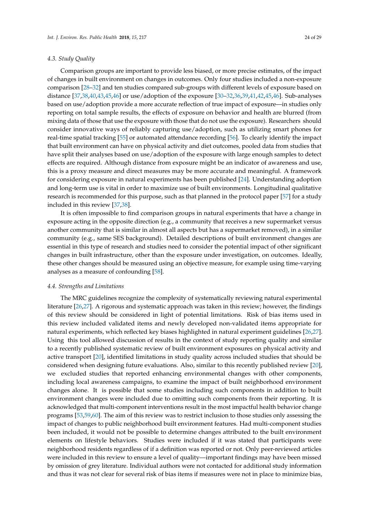## *4.3. Study Quality*

Comparison groups are important to provide less biased, or more precise estimates, of the impact of changes in built environment on changes in outcomes. Only four studies included a non-exposure comparison [\[28](#page-28-27)[–32\]](#page-28-29) and ten studies compared sub-groups with different levels of exposure based on distance [\[37,](#page-28-31)[38,](#page-28-22)[40,](#page-28-23)[43,](#page-29-8)[45,](#page-29-9)[46\]](#page-29-10) or use/adoption of the exposure [\[30–](#page-28-28)[32,](#page-28-29)[36,](#page-28-32)[39,](#page-28-26)[41,](#page-29-6)[42,](#page-29-7)[45,](#page-29-9)[46\]](#page-29-10). Sub-analyses based on use/adoption provide a more accurate reflection of true impact of exposure—in studies only reporting on total sample results, the effects of exposure on behavior and health are blurred (from mixing data of those that use the exposure with those that do not use the exposure). Researchers should consider innovative ways of reliably capturing use/adoption, such as utilizing smart phones for real-time spatial tracking [\[55\]](#page-29-20) or automated attendance recording [\[56\]](#page-29-21). To clearly identify the impact that built environment can have on physical activity and diet outcomes, pooled data from studies that have split their analyses based on use/adoption of the exposure with large enough samples to detect effects are required. Although distance from exposure might be an indicator of awareness and use, this is a proxy measure and direct measures may be more accurate and meaningful. A framework for considering exposure in natural experiments has been published [\[24\]](#page-28-3). Understanding adoption and long-term use is vital in order to maximize use of built environments. Longitudinal qualitative research is recommended for this purpose, such as that planned in the protocol paper [\[57\]](#page-29-22) for a study included in this review [\[37](#page-28-31)[,38\]](#page-28-22).

It is often impossible to find comparison groups in natural experiments that have a change in exposure acting in the opposite direction (e.g., a community that receives a new supermarket versus another community that is similar in almost all aspects but has a supermarket removed), in a similar community (e.g., same SES background). Detailed descriptions of built environment changes are essential in this type of research and studies need to consider the potential impact of other significant changes in built infrastructure, other than the exposure under investigation, on outcomes. Ideally, these other changes should be measured using an objective measure, for example using time-varying analyses as a measure of confounding [\[58\]](#page-29-23).

#### *4.4. Strengths and Limitations*

The MRC guidelines recognize the complexity of systematically reviewing natural experimental literature [\[26](#page-28-5)[,27\]](#page-28-6). A rigorous and systematic approach was taken in this review; however, the findings of this review should be considered in light of potential limitations. Risk of bias items used in this review included validated items and newly developed non-validated items appropriate for natural experiments, which reflected key biases highlighted in natural experiment guidelines [\[26,](#page-28-5)[27\]](#page-28-6). Using this tool allowed discussion of results in the context of study reporting quality and similar to a recently published systematic review of built environment exposures on physical activity and active transport [\[20\]](#page-27-15), identified limitations in study quality across included studies that should be considered when designing future evaluations. Also, similar to this recently published review [\[20\]](#page-27-15), we excluded studies that reported enhancing environmental changes with other components, including local awareness campaigns, to examine the impact of built neighborhood environment changes alone. It is possible that some studies including such components in addition to built environment changes were included due to omitting such components from their reporting. It is acknowledged that multi-component interventions result in the most impactful health behavior change programs [\[53](#page-29-18)[,59,](#page-29-24)[60\]](#page-30-0). The aim of this review was to restrict inclusion to those studies only assessing the impact of changes to public neighborhood built environment features. Had multi-component studies been included, it would not be possible to determine changes attributed to the built environment elements on lifestyle behaviors. Studies were included if it was stated that participants were neighborhood residents regardless of if a definition was reported or not. Only peer-reviewed articles were included in this review to ensure a level of quality—important findings may have been missed by omission of grey literature. Individual authors were not contacted for additional study information and thus it was not clear for several risk of bias items if measures were not in place to minimize bias,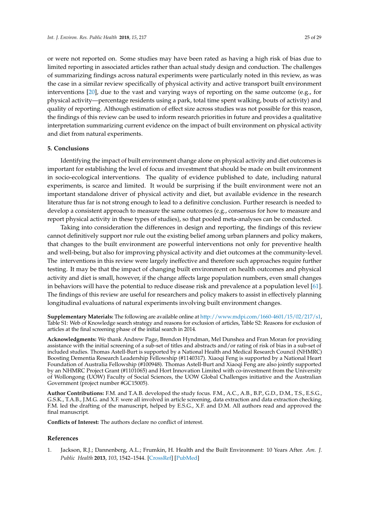or were not reported on. Some studies may have been rated as having a high risk of bias due to limited reporting in associated articles rather than actual study design and conduction. The challenges of summarizing findings across natural experiments were particularly noted in this review, as was the case in a similar review specifically of physical activity and active transport built environment interventions [\[20\]](#page-27-15), due to the vast and varying ways of reporting on the same outcome (e.g., for physical activity—percentage residents using a park, total time spent walking, bouts of activity) and quality of reporting. Although estimation of effect size across studies was not possible for this reason, the findings of this review can be used to inform research priorities in future and provides a qualitative interpretation summarizing current evidence on the impact of built environment on physical activity and diet from natural experiments.

## **5. Conclusions**

Identifying the impact of built environment change alone on physical activity and diet outcomes is important for establishing the level of focus and investment that should be made on built environment in socio-ecological interventions. The quality of evidence published to date, including natural experiments, is scarce and limited. It would be surprising if the built environment were not an important standalone driver of physical activity and diet, but available evidence in the research literature thus far is not strong enough to lead to a definitive conclusion. Further research is needed to develop a consistent approach to measure the same outcomes (e.g., consensus for how to measure and report physical activity in these types of studies), so that pooled meta-analyses can be conducted.

Taking into consideration the differences in design and reporting, the findings of this review cannot definitively support nor rule out the existing belief among urban planners and policy makers, that changes to the built environment are powerful interventions not only for preventive health and well-being, but also for improving physical activity and diet outcomes at the community-level. The interventions in this review were largely ineffective and therefore such approaches require further testing. It may be that the impact of changing built environment on health outcomes and physical activity and diet is small, however, if the change affects large population numbers, even small changes in behaviors will have the potential to reduce disease risk and prevalence at a population level [\[61\]](#page-30-1). The findings of this review are useful for researchers and policy makers to assist in effectively planning longitudinal evaluations of natural experiments involving built environment changes.

**Supplementary Materials:** The following are available online at [http://www.mdpi.com/1660-4601/15/02/217/s1,](http://www.mdpi.com/1660-4601/15/02/217/s1) Table S1: Web of Knowledge search strategy and reasons for exclusion of articles, Table S2: Reasons for exclusion of articles at the final screening phase of the initial search in 2014.

**Acknowledgments:** We thank Andrew Page, Brendon Hyndman, Mel Dunshea and Fran Moran for providing assistance with the initial screening of a sub-set of titles and abstracts and/or rating of risk of bias in a sub-set of included studies. Thomas Astell-Burt is supported by a National Health and Medical Research Council (NHMRC) Boosting Dementia Research Leadership Fellowship (#1140317). Xiaoqi Feng is supported by a National Heart Foundation of Australia Fellowship (#100948). Thomas Astell-Burt and Xiaoqi Feng are also jointly supported by an NHMRC Project Grant (#1101065) and Hort Innovation Limited with co-investment from the University of Wollongong (UOW) Faculty of Social Sciences, the UOW Global Challenges initiative and the Australian Government (project number #GC15005).

**Author Contributions:** F.M. and T.A.B. developed the study focus. F.M., A.C., A.B., B.P., G.D., D.M., T.S., E.S.G., G.S.K., T.A.B., J.M.G. and X.F. were all involved in article screening, data extraction and data extraction checking. F.M. led the drafting of the manuscript, helped by E.S.G., X.F. and D.M. All authors read and approved the final manuscript.

**Conflicts of Interest:** The authors declare no conflict of interest.

#### **References**

<span id="page-26-0"></span>1. Jackson, R.J.; Dannenberg, A.L.; Frumkin, H. Health and the Built Environment: 10 Years After. *Am. J. Public Health* **2013**, *103*, 1542–1544. [\[CrossRef\]](http://dx.doi.org/10.2105/AJPH.2013.301482) [\[PubMed\]](http://www.ncbi.nlm.nih.gov/pubmed/23865699)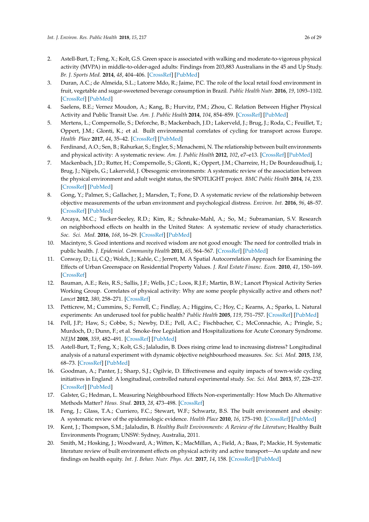- <span id="page-27-0"></span>2. Astell-Burt, T.; Feng, X.; Kolt, G.S. Green space is associated with walking and moderate-to-vigorous physical activity (MVPA) in middle-to-older-aged adults: Findings from 203,883 Australians in the 45 and Up Study. *Br. J. Sports Med.* **2014**, *48*, 404–406. [\[CrossRef\]](http://dx.doi.org/10.1136/bjsports-2012-092006) [\[PubMed\]](http://www.ncbi.nlm.nih.gov/pubmed/23632744)
- <span id="page-27-1"></span>3. Duran, A.C.; de Almeida, S.L.; Latorre Mdo, R.; Jaime, P.C. The role of the local retail food environment in fruit, vegetable and sugar-sweetened beverage consumption in Brazil. *Public Health Nutr.* **2016**, *19*, 1093–1102. [\[CrossRef\]](http://dx.doi.org/10.1017/S1368980015001524) [\[PubMed\]](http://www.ncbi.nlm.nih.gov/pubmed/26054646)
- <span id="page-27-2"></span>4. Saelens, B.E.; Vernez Moudon, A.; Kang, B.; Hurvitz, P.M.; Zhou, C. Relation Between Higher Physical Activity and Public Transit Use. *Am. J. Public Health* **2014**, *104*, 854–859. [\[CrossRef\]](http://dx.doi.org/10.2105/AJPH.2013.301696) [\[PubMed\]](http://www.ncbi.nlm.nih.gov/pubmed/24625142)
- <span id="page-27-3"></span>5. Mertens, L.; Compernolle, S.; Deforche, B.; Mackenbach, J.D.; Lakerveld, J.; Brug, J.; Roda, C.; Feuillet, T.; Oppert, J.M.; Glonti, K.; et al. Built environmental correlates of cycling for transport across Europe. *Health Place* **2017**, *44*, 35–42. [\[CrossRef\]](http://dx.doi.org/10.1016/j.healthplace.2017.01.007) [\[PubMed\]](http://www.ncbi.nlm.nih.gov/pubmed/28157622)
- <span id="page-27-4"></span>6. Ferdinand, A.O.; Sen, B.; Rahurkar, S.; Engler, S.; Menachemi, N. The relationship between built environments and physical activity: A systematic review. *Am. J. Public Health* **2012**, *102*, e7–e13. [\[CrossRef\]](http://dx.doi.org/10.2105/AJPH.2012.300740) [\[PubMed\]](http://www.ncbi.nlm.nih.gov/pubmed/22897546)
- <span id="page-27-16"></span>7. Mackenbach, J.D.; Rutter, H.; Compernolle, S.; Glonti, K.; Oppert, J.M.; Charreire, H.; De Bourdeaudhuij, I.; Brug, J.; Nijpels, G.; Lakerveld, J. Obesogenic environments: A systematic review of the association between the physical environment and adult weight status, the SPOTLIGHT project. *BMC Public Health* **2014**, *14*, 233. [\[CrossRef\]](http://dx.doi.org/10.1186/1471-2458-14-233) [\[PubMed\]](http://www.ncbi.nlm.nih.gov/pubmed/24602291)
- 8. Gong, Y.; Palmer, S.; Gallacher, J.; Marsden, T.; Fone, D. A systematic review of the relationship between objective measurements of the urban environment and psychological distress. *Environ. Int.* **2016**, *96*, 48–57. [\[CrossRef\]](http://dx.doi.org/10.1016/j.envint.2016.08.019) [\[PubMed\]](http://www.ncbi.nlm.nih.gov/pubmed/27599349)
- <span id="page-27-5"></span>9. Arcaya, M.C.; Tucker-Seeley, R.D.; Kim, R.; Schnake-Mahl, A.; So, M.; Subramanian, S.V. Research on neighborhood effects on health in the United States: A systematic review of study characteristics. *Soc. Sci. Med.* **2016**, *168*, 16–29. [\[CrossRef\]](http://dx.doi.org/10.1016/j.socscimed.2016.08.047) [\[PubMed\]](http://www.ncbi.nlm.nih.gov/pubmed/27637089)
- <span id="page-27-6"></span>10. Macintyre, S. Good intentions and received wisdom are not good enough: The need for controlled trials in public health. *J. Epidemiol. Community Health* **2011**, *65*, 564–567. [\[CrossRef\]](http://dx.doi.org/10.1136/jech.2010.124198) [\[PubMed\]](http://www.ncbi.nlm.nih.gov/pubmed/21148137)
- <span id="page-27-7"></span>11. Conway, D.; Li, C.Q.; Wolch, J.; Kahle, C.; Jerrett, M. A Spatial Autocorrelation Approach for Examining the Effects of Urban Greenspace on Residential Property Values. *J. Real Estate Financ. Econ.* **2010**, *41*, 150–169. [\[CrossRef\]](http://dx.doi.org/10.1007/s11146-008-9159-6)
- <span id="page-27-8"></span>12. Bauman, A.E.; Reis, R.S.; Sallis, J.F.; Wells, J.C.; Loos, R.J.F.; Martin, B.W.; Lancet Physical Activity Series Working Group. Correlates of physical activity: Why are some people physically active and others not? *Lancet* **2012**, *380*, 258–271. [\[CrossRef\]](http://dx.doi.org/10.1016/S0140-6736(12)60735-1)
- <span id="page-27-9"></span>13. Petticrew, M.; Cummins, S.; Ferrell, C.; Findlay, A.; Higgins, C.; Hoy, C.; Kearns, A.; Sparks, L. Natural experiments: An underused tool for public health? *Public Health* **2005**, *119*, 751–757. [\[CrossRef\]](http://dx.doi.org/10.1016/j.puhe.2004.11.008) [\[PubMed\]](http://www.ncbi.nlm.nih.gov/pubmed/15913681)
- <span id="page-27-10"></span>14. Pell, J.P.; Haw, S.; Cobbe, S.; Newby, D.E.; Pell, A.C.; Fischbacher, C.; McConnachie, A.; Pringle, S.; Murdoch, D.; Dunn, F.; et al. Smoke-free Legislation and Hospitalizations for Acute Coronary Syndrome. *NEJM* **2008**, *359*, 482–491. [\[CrossRef\]](http://dx.doi.org/10.1056/NEJMsa0706740) [\[PubMed\]](http://www.ncbi.nlm.nih.gov/pubmed/18669427)
- <span id="page-27-11"></span>15. Astell-Burt, T.; Feng, X.; Kolt, G.S.; Jalaludin, B. Does rising crime lead to increasing distress? Longitudinal analysis of a natural experiment with dynamic objective neighbourhood measures. *Soc. Sci. Med.* **2015**, *138*, 68–73. [\[CrossRef\]](http://dx.doi.org/10.1016/j.socscimed.2015.05.014) [\[PubMed\]](http://www.ncbi.nlm.nih.gov/pubmed/26056935)
- <span id="page-27-12"></span>16. Goodman, A.; Panter, J.; Sharp, S.J.; Ogilvie, D. Effectiveness and equity impacts of town-wide cycling initiatives in England: A longitudinal, controlled natural experimental study. *Soc. Sci. Med.* **2013**, *97*, 228–237. [\[CrossRef\]](http://dx.doi.org/10.1016/j.socscimed.2013.08.030) [\[PubMed\]](http://www.ncbi.nlm.nih.gov/pubmed/24075196)
- <span id="page-27-13"></span>17. Galster, G.; Hedman, L. Measuring Neighbourhood Effects Non-experimentally: How Much Do Alternative Methods Matter? *Hous. Stud.* **2013**, *28*, 473–498. [\[CrossRef\]](http://dx.doi.org/10.1080/02673037.2013.759544)
- <span id="page-27-14"></span>18. Feng, J.; Glass, T.A.; Curriero, F.C.; Stewart, W.F.; Schwartz, B.S. The built environment and obesity: A systematic review of the epidemiologic evidence. *Health Place* **2010**, *16*, 175–190. [\[CrossRef\]](http://dx.doi.org/10.1016/j.healthplace.2009.09.008) [\[PubMed\]](http://www.ncbi.nlm.nih.gov/pubmed/19880341)
- 19. Kent, J.; Thompson, S.M.; Jalaludin, B. *Healthy Built Environments: A Review of the Literature*; Healthy Built Environments Program; UNSW: Sydney, Australia, 2011.
- <span id="page-27-15"></span>20. Smith, M.; Hosking, J.; Woodward, A.; Witten, K.; MacMillan, A.; Field, A.; Baas, P.; Mackie, H. Systematic literature review of built environment effects on physical activity and active transport—An update and new findings on health equity. *Int. J. Behav. Nutr. Phys. Act.* **2017**, *14*, 158. [\[CrossRef\]](http://dx.doi.org/10.1186/s12966-017-0613-9) [\[PubMed\]](http://www.ncbi.nlm.nih.gov/pubmed/29145884)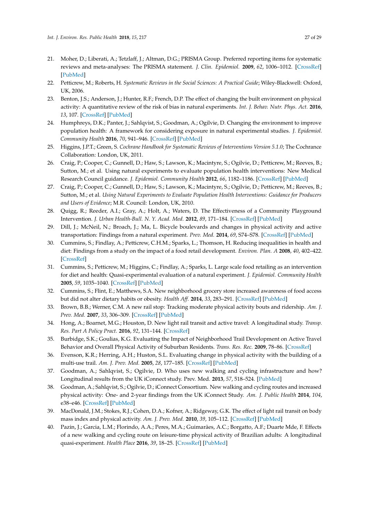- <span id="page-28-8"></span><span id="page-28-7"></span><span id="page-28-0"></span>21. Moher, D.; Liberati, A.; Tetzlaff, J.; Altman, D.G.; PRISMA Group. Preferred reporting items for systematic reviews and meta-analyses: The PRISMA statement. *J. Clin. Epidemiol.* **2009**, *62*, 1006–1012. [\[CrossRef\]](http://dx.doi.org/10.1016/j.jclinepi.2009.06.005) [\[PubMed\]](http://www.ncbi.nlm.nih.gov/pubmed/19631508)
- <span id="page-28-9"></span><span id="page-28-1"></span>22. Petticrew, M.; Roberts, H. *Systematic Reviews in the Social Sciences: A Practical Guide*; Wiley-Blackwell: Oxford, UK, 2006.
- <span id="page-28-2"></span>23. Benton, J.S.; Anderson, J.; Hunter, R.F.; French, D.P. The effect of changing the built environment on physical activity: A quantitative review of the risk of bias in natural experiments. *Int. J. Behav. Nutr. Phys. Act.* **2016**, *13*, 107. [\[CrossRef\]](http://dx.doi.org/10.1186/s12966-016-0433-3) [\[PubMed\]](http://www.ncbi.nlm.nih.gov/pubmed/27717360)
- <span id="page-28-11"></span><span id="page-28-10"></span><span id="page-28-3"></span>24. Humphreys, D.K.; Panter, J.; Sahlqvist, S.; Goodman, A.; Ogilvie, D. Changing the environment to improve population health: A framework for considering exposure in natural experimental studies. *J. Epidemiol. Community Health* **2016**, *70*, 941–946. [\[CrossRef\]](http://dx.doi.org/10.1136/jech-2015-206381) [\[PubMed\]](http://www.ncbi.nlm.nih.gov/pubmed/27056683)
- <span id="page-28-12"></span><span id="page-28-4"></span>25. Higgins, J.P.T.; Green, S. *Cochrane Handbook for Systematic Reviews of Interventions Version 5.1.0*; The Cochrance Collaboration: London, UK, 2011.
- <span id="page-28-13"></span><span id="page-28-5"></span>26. Craig, P.; Cooper, C.; Gunnell, D.; Haw, S.; Lawson, K.; Macintyre, S.; Ogilvie, D.; Petticrew, M.; Reeves, B.; Sutton, M.; et al. Using natural experiments to evaluate population health interventions: New Medical Research Council guidance. *J. Epidemiol. Community Health* **2012**, *66*, 1182–1186. [\[CrossRef\]](http://dx.doi.org/10.1136/jech-2011-200375) [\[PubMed\]](http://www.ncbi.nlm.nih.gov/pubmed/22577181)
- <span id="page-28-14"></span><span id="page-28-6"></span>27. Craig, P.; Cooper, C.; Gunnell, D.; Haw, S.; Lawson, K.; Macintyre, S.; Ogilvie, D.; Petticrew, M.; Reeves, B.; Sutton, M.; et al. *Using Natural Experiments to Evaluate Population Health Interventions: Guidance for Producers and Users of Evidence*; M.R. Council: London, UK, 2010.
- <span id="page-28-27"></span><span id="page-28-16"></span><span id="page-28-15"></span>28. Quigg, R.; Reeder, A.I.; Gray, A.; Holt, A.; Waters, D. The Effectiveness of a Community Playground Intervention. *J. Urban Health-Bull. N. Y. Acad. Med.* **2012**, *89*, 171–184. [\[CrossRef\]](http://dx.doi.org/10.1007/s11524-011-9622-1) [\[PubMed\]](http://www.ncbi.nlm.nih.gov/pubmed/21959697)
- <span id="page-28-20"></span><span id="page-28-17"></span>29. Dill, J.; McNeil, N.; Broach, J.; Ma, L. Bicycle boulevards and changes in physical activity and active transportation: Findings from a natural experiment. *Prev. Med.* **2014**, *69*, S74–S78. [\[CrossRef\]](http://dx.doi.org/10.1016/j.ypmed.2014.10.006) [\[PubMed\]](http://www.ncbi.nlm.nih.gov/pubmed/25456802)
- <span id="page-28-28"></span><span id="page-28-18"></span>30. Cummins, S.; Findlay, A.; Petticrew, C.H.M.; Sparks, L.; Thomson, H. Reducing inequalities in health and diet: Findings from a study on the impact of a food retail development. *Environ. Plan. A* **2008**, *40*, 402–422. [\[CrossRef\]](http://dx.doi.org/10.1068/a38371)
- <span id="page-28-30"></span><span id="page-28-19"></span>31. Cummins, S.; Petticrew, M.; Higgins, C.; Findlay, A.; Sparks, L. Large scale food retailing as an intervention for diet and health: Quasi-experimental evaluation of a natural experiment. *J. Epidemiol. Community Health* **2005**, *59*, 1035–1040. [\[CrossRef\]](http://dx.doi.org/10.1136/jech.2004.029843) [\[PubMed\]](http://www.ncbi.nlm.nih.gov/pubmed/16286490)
- <span id="page-28-29"></span>32. Cummins, S.; Flint, E.; Matthews, S.A. New neighborhood grocery store increased awareness of food access but did not alter dietary habits or obesity. *Health Aff.* **2014**, *33*, 283–291. [\[CrossRef\]](http://dx.doi.org/10.1377/hlthaff.2013.0512) [\[PubMed\]](http://www.ncbi.nlm.nih.gov/pubmed/24493772)
- <span id="page-28-24"></span>33. Brown, B.B.; Werner, C.M. A new rail stop: Tracking moderate physical activity bouts and ridership. *Am. J. Prev. Med.* **2007**, *33*, 306–309. [\[CrossRef\]](http://dx.doi.org/10.1016/j.amepre.2007.06.002) [\[PubMed\]](http://www.ncbi.nlm.nih.gov/pubmed/17888857)
- <span id="page-28-25"></span>34. Hong, A.; Boarnet, M.G.; Houston, D. New light rail transit and active travel: A longitudinal study. *Transp. Res. Part A Policy Pract.* **2016**, *92*, 131–144. [\[CrossRef\]](http://dx.doi.org/10.1016/j.tra.2016.07.005)
- <span id="page-28-21"></span>35. Burbidge, S.K.; Goulias, K.G. Evaluating the Impact of Neighborhood Trail Development on Active Travel Behavior and Overall Physical Activity of Suburban Residents. *Trans. Res. Rec.* **2009**, 78–86. [\[CrossRef\]](http://dx.doi.org/10.3141/2135-10)
- <span id="page-28-32"></span>36. Evenson, K.R.; Herring, A.H.; Huston, S.L. Evaluating change in physical activity with the building of a multi-use trail. *Am. J. Prev. Med.* **2005**, *28*, 177–185. [\[CrossRef\]](http://dx.doi.org/10.1016/j.amepre.2004.10.020) [\[PubMed\]](http://www.ncbi.nlm.nih.gov/pubmed/15694526)
- <span id="page-28-31"></span>37. Goodman, A.; Sahlqvist, S.; Ogilvie, D. Who uses new walking and cycling infrastructure and how? Longitudinal results from the UK iConnect study. Prev. Med. **2013**, *57*, 518–524. [\[PubMed\]](http://www.ncbi.nlm.nih.gov/pubmed/23859933)
- <span id="page-28-22"></span>38. Goodman, A.; Sahlqvist, S.; Ogilvie, D.; iConnect Consortium. New walking and cycling routes and increased physical activity: One- and 2-year findings from the UK iConnect Study. *Am. J. Public Health* **2014**, *104*, e38–e46. [\[CrossRef\]](http://dx.doi.org/10.2105/AJPH.2014.302059) [\[PubMed\]](http://www.ncbi.nlm.nih.gov/pubmed/25033133)
- <span id="page-28-26"></span>39. MacDonald, J.M.; Stokes, R.J.; Cohen, D.A.; Kofner, A.; Ridgeway, G.K. The effect of light rail transit on body mass index and physical activity. *Am. J. Prev. Med.* **2010**, *39*, 105–112. [\[CrossRef\]](http://dx.doi.org/10.1016/j.amepre.2010.03.016) [\[PubMed\]](http://www.ncbi.nlm.nih.gov/pubmed/20621257)
- <span id="page-28-23"></span>40. Pazin, J.; Garcia, L.M.; Florindo, A.A.; Peres, M.A.; Guimarães, A.C.; Borgatto, A.F.; Duarte Mde, F. Effects of a new walking and cycling route on leisure-time physical activity of Brazilian adults: A longitudinal quasi-experiment. *Health Place* **2016**, *39*, 18–25. [\[CrossRef\]](http://dx.doi.org/10.1016/j.healthplace.2016.02.005) [\[PubMed\]](http://www.ncbi.nlm.nih.gov/pubmed/26922514)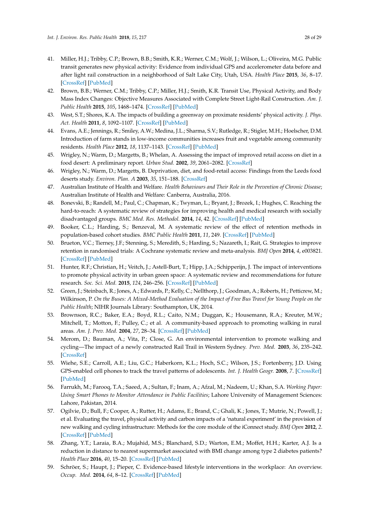- <span id="page-29-6"></span><span id="page-29-5"></span><span id="page-29-4"></span><span id="page-29-3"></span><span id="page-29-2"></span><span id="page-29-1"></span><span id="page-29-0"></span>41. Miller, H.J.; Tribby, C.P.; Brown, B.B.; Smith, K.R.; Werner, C.M.; Wolf, J.; Wilson, L.; Oliveira, M.G. Public transit generates new physical activity: Evidence from individual GPS and accelerometer data before and after light rail construction in a neighborhood of Salt Lake City, Utah, USA. *Health Place* **2015**, *36*, 8–17. [\[CrossRef\]](http://dx.doi.org/10.1016/j.healthplace.2015.08.005) [\[PubMed\]](http://www.ncbi.nlm.nih.gov/pubmed/26340643)
- <span id="page-29-7"></span>42. Brown, B.B.; Werner, C.M.; Tribby, C.P.; Miller, H.J.; Smith, K.R. Transit Use, Physical Activity, and Body Mass Index Changes: Objective Measures Associated with Complete Street Light-Rail Construction. *Am. J. Public Health* **2015**, *105*, 1468–1474. [\[CrossRef\]](http://dx.doi.org/10.2105/AJPH.2015.302561) [\[PubMed\]](http://www.ncbi.nlm.nih.gov/pubmed/25973829)
- <span id="page-29-8"></span>43. West, S.T.; Shores, K.A. The impacts of building a greenway on proximate residents' physical activity. *J. Phys. Act. Health* **2011**, *8*, 1092–1107. [\[CrossRef\]](http://dx.doi.org/10.1123/jpah.8.8.1092) [\[PubMed\]](http://www.ncbi.nlm.nih.gov/pubmed/22039127)
- <span id="page-29-11"></span>44. Evans, A.E.; Jennings, R.; Smiley, A.W.; Medina, J.L.; Sharma, S.V.; Rutledge, R.; Stigler, M.H.; Hoelscher, D.M. Introduction of farm stands in low-income communities increases fruit and vegetable among community residents. *Health Place* **2012**, *18*, 1137–1143. [\[CrossRef\]](http://dx.doi.org/10.1016/j.healthplace.2012.04.007) [\[PubMed\]](http://www.ncbi.nlm.nih.gov/pubmed/22608130)
- <span id="page-29-9"></span>45. Wrigley, N.; Warm, D.; Margetts, B.; Whelan, A. Assessing the impact of improved retail access on diet in a food desert: A preliminary report. *Urban Stud.* **2002**, *39*, 2061–2082. [\[CrossRef\]](http://dx.doi.org/10.1080/0042098022000011362)
- <span id="page-29-10"></span>46. Wrigley, N.; Warm, D.; Margetts, B. Deprivation, diet, and food-retail access: Findings from the Leeds food deserts study. *Environ. Plan. A* **2003**, *35*, 151–188. [\[CrossRef\]](http://dx.doi.org/10.1068/a35150)
- <span id="page-29-12"></span>47. Australian Institute of Health and Welfare. *Health Behaviours and Their Role in the Prevention of Chronic Disease*; Australian Institute of Health and Welfare: Canberra, Australia, 2016.
- <span id="page-29-13"></span>48. Bonevski, B.; Randell, M.; Paul, C.; Chapman, K.; Twyman, L.; Bryant, J.; Brozek, I.; Hughes, C. Reaching the hard-to-reach: A systematic review of strategies for improving health and medical research with socially disadvantaged groups. *BMC Med. Res. Methodol.* **2014**, *14*, 42. [\[CrossRef\]](http://dx.doi.org/10.1186/1471-2288-14-42) [\[PubMed\]](http://www.ncbi.nlm.nih.gov/pubmed/24669751)
- <span id="page-29-14"></span>49. Booker, C.L.; Harding, S.; Benzeval, M. A systematic review of the effect of retention methods in population-based cohort studies. *BMC Public Health* **2011**, *11*, 249. [\[CrossRef\]](http://dx.doi.org/10.1186/1471-2458-11-249) [\[PubMed\]](http://www.ncbi.nlm.nih.gov/pubmed/21504610)
- <span id="page-29-15"></span>50. Brueton, V.C.; Tierney, J.F.; Stenning, S.; Meredith, S.; Harding, S.; Nazareth, I.; Rait, G. Strategies to improve retention in randomised trials: A Cochrane systematic review and meta-analysis. *BMJ Open* **2014**, *4*, e003821. [\[CrossRef\]](http://dx.doi.org/10.1136/bmjopen-2013-003821) [\[PubMed\]](http://www.ncbi.nlm.nih.gov/pubmed/24496696)
- <span id="page-29-16"></span>51. Hunter, R.F.; Christian, H.; Veitch, J.; Astell-Burt, T.; Hipp, J.A.; Schipperijn, J. The impact of interventions to promote physical activity in urban green space: A systematic review and recommendations for future research. *Soc. Sci. Med.* **2015**, *124*, 246–256. [\[CrossRef\]](http://dx.doi.org/10.1016/j.socscimed.2014.11.051) [\[PubMed\]](http://www.ncbi.nlm.nih.gov/pubmed/25462429)
- <span id="page-29-17"></span>52. Green, J.; Steinbach, R.; Jones, A.; Edwards, P.; Kelly, C.; Nellthorp, J.; Goodman, A.; Roberts, H.; Petticrew, M.; Wilkinson, P. *On the Buses: A Mixed-Method Evaluation of the Impact of Free Bus Travel for Young People on the Public Health*; NIHR Journals Library: Southampton, UK, 2014.
- <span id="page-29-18"></span>53. Brownson, R.C.; Baker, E.A.; Boyd, R.L.; Caito, N.M.; Duggan, K.; Housemann, R.A.; Kreuter, M.W.; Mitchell, T.; Motton, F.; Pulley, C.; et al. A community-based approach to promoting walking in rural areas. *Am. J. Prev. Med.* **2004**, *27*, 28–34. [\[CrossRef\]](http://dx.doi.org/10.1016/j.amepre.2004.03.015) [\[PubMed\]](http://www.ncbi.nlm.nih.gov/pubmed/15212772)
- <span id="page-29-19"></span>54. Merom, D.; Bauman, A.; Vita, P.; Close, G. An environmental intervention to promote walking and cycling—The impact of a newly constructed Rail Trail in Western Sydney. *Prev. Med.* **2003**, *36*, 235–242. [\[CrossRef\]](http://dx.doi.org/10.1016/S0091-7435(02)00025-7)
- <span id="page-29-20"></span>55. Wiehe, S.E.; Carroll, A.E.; Liu, G.C.; Haberkorn, K.L.; Hoch, S.C.; Wilson, J.S.; Fortenberry, J.D. Using GPS-enabled cell phones to track the travel patterns of adolescents. *Int. J. Health Geogr.* **2008**, *7*. [\[CrossRef\]](http://dx.doi.org/10.1186/1476-072X-7-22) [\[PubMed\]](http://www.ncbi.nlm.nih.gov/pubmed/18495025)
- <span id="page-29-21"></span>56. Farrukh, M.; Farooq, T.A.; Saeed, A.; Sultan, F.; Inam, A.; Afzal, M.; Nadeem, U.; Khan, S.A. *Working Paper: Using Smart Phones to Monitor Attendance in Public Facilities*; Lahore University of Management Sciences: Lahore, Pakistan, 2014.
- <span id="page-29-22"></span>57. Ogilvie, D.; Bull, F.; Cooper, A.; Rutter, H.; Adams, E.; Brand, C.; Ghali, K.; Jones, T.; Mutrie, N.; Powell, J.; et al. Evaluating the travel, physical activity and carbon impacts of a 'natural experiment' in the provision of new walking and cycling infrastructure: Methods for the core module of the iConnect study. *BMJ Open* **2012**, *2*. [\[CrossRef\]](http://dx.doi.org/10.1136/bmjopen-2011-000694) [\[PubMed\]](http://www.ncbi.nlm.nih.gov/pubmed/22307104)
- <span id="page-29-23"></span>58. Zhang, Y.T.; Laraia, B.A.; Mujahid, M.S.; Blanchard, S.D.; Warton, E.M.; Moffet, H.H.; Karter, A.J. Is a reduction in distance to nearest supermarket associated with BMI change among type 2 diabetes patients? *Health Place* **2016**, *40*, 15–20. [\[CrossRef\]](http://dx.doi.org/10.1016/j.healthplace.2016.04.008) [\[PubMed\]](http://www.ncbi.nlm.nih.gov/pubmed/27160530)
- <span id="page-29-24"></span>59. Schröer, S.; Haupt, J.; Pieper, C. Evidence-based lifestyle interventions in the workplace: An overview. *Occup. Med.* **2014**, *64*, 8–12. [\[CrossRef\]](http://dx.doi.org/10.1093/occmed/kqt136) [\[PubMed\]](http://www.ncbi.nlm.nih.gov/pubmed/24280187)